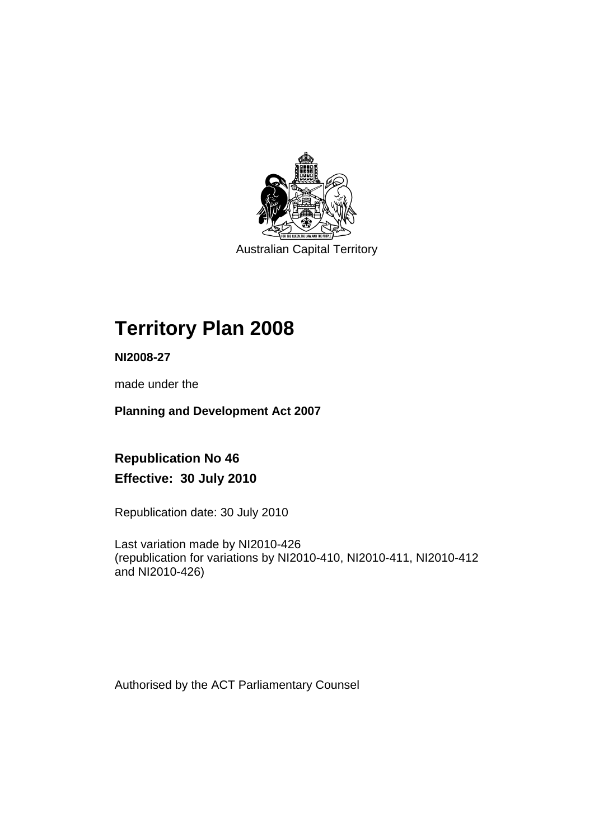

Australian Capital Territory

# **Territory Plan 2008**

**NI2008-27** 

made under the

**Planning and Development Act 2007** 

**Republication No 46 Effective: 30 July 2010** 

Republication date: 30 July 2010

Last variation made by NI2010-426 (republication for variations by NI2010-410, NI2010-411, NI2010-412 and NI2010-426)

Authorised by the ACT Parliamentary Counsel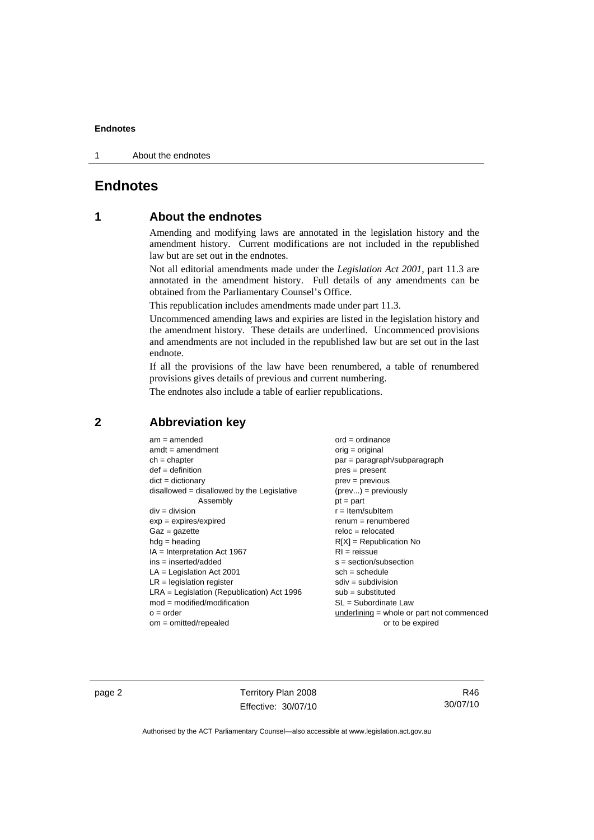1 About the endnotes

## **Endnotes**

### **1 About the endnotes**

Amending and modifying laws are annotated in the legislation history and the amendment history. Current modifications are not included in the republished law but are set out in the endnotes.

Not all editorial amendments made under the *Legislation Act 2001*, part 11.3 are annotated in the amendment history. Full details of any amendments can be obtained from the Parliamentary Counsel's Office.

This republication includes amendments made under part 11.3.

Uncommenced amending laws and expiries are listed in the legislation history and the amendment history. These details are underlined. Uncommenced provisions and amendments are not included in the republished law but are set out in the last endnote.

If all the provisions of the law have been renumbered, a table of renumbered provisions gives details of previous and current numbering.

The endnotes also include a table of earlier republications.

### **2 Abbreviation key**

| $am = amended$                               | $ord = ordinance$                   |
|----------------------------------------------|-------------------------------------|
| $amdt = amendment$                           | $orig = original$                   |
| $ch = chapter$                               | $par = paragraph/subparagraph$      |
| $def = definition$                           | $pres = present$                    |
| $dict = dictionary$                          | $prev = previous$                   |
| $disallowed = disallowed by the Legislative$ | $(\text{prev}) = \text{previously}$ |
| Assembly                                     | $pt = part$                         |
| $div = division$                             | $r =$ Item/subItem                  |
| $exp = expires/expired$                      | $renum = renumbered$                |
| $Gaz = gazette$                              | $reloc = relocated$                 |
| $h dq =$ heading                             | $R[X]$ = Republication No           |
| $IA = Interpretation Act 1967$               | $RI = reissue$                      |
| ins = inserted/added                         | $s = section/subsection$            |
| $LA =$ Legislation Act 2001                  | $sch = schedule$                    |
| $LR =$ legislation register                  | $sdiv = subdivision$                |
| $LRA =$ Legislation (Republication) Act 1996 | $sub =$ substituted                 |
| $mod = modified/modification$                | SL = Subordinate Law                |
| $o = order$                                  | underlining $=$ whole or part not   |
| $om = omitted/repealed$                      | or to be expired                    |

page 2 Territory Plan 2008 Effective: 30/07/10

R46 30/07/10

part not commenced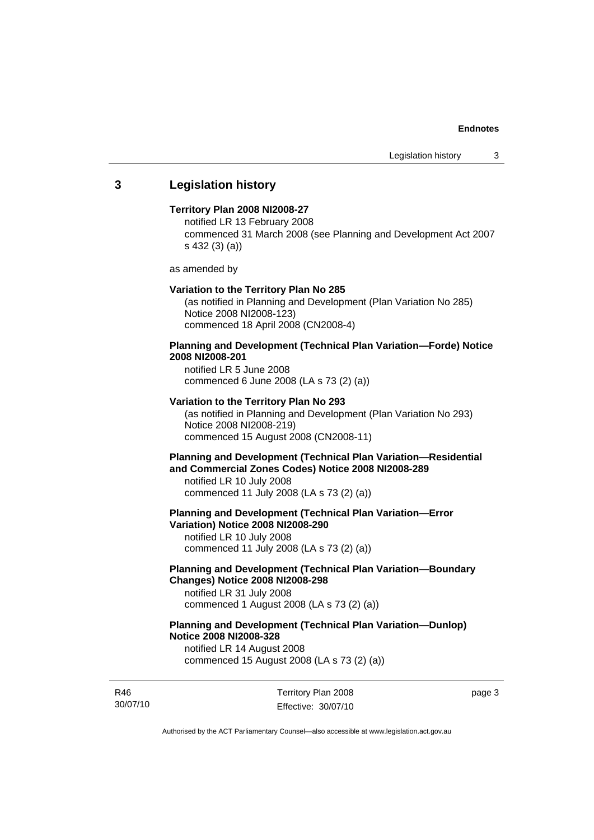### **3 Legislation history**

#### **Territory Plan 2008 NI2008-27**

notified LR 13 February 2008 commenced 31 March 2008 (see Planning and Development Act 2007 s 432 (3) (a))

as amended by

#### **Variation to the Territory Plan No 285**

(as notified in Planning and Development (Plan Variation No 285) Notice 2008 NI2008-123) commenced 18 April 2008 (CN2008-4)

### **Planning and Development (Technical Plan Variation—Forde) Notice 2008 NI2008-201**

notified LR 5 June 2008 commenced 6 June 2008 (LA s 73 (2) (a))

#### **Variation to the Territory Plan No 293**

(as notified in Planning and Development (Plan Variation No 293) Notice 2008 NI2008-219) commenced 15 August 2008 (CN2008-11)

### **Planning and Development (Technical Plan Variation—Residential and Commercial Zones Codes) Notice 2008 NI2008-289**

notified LR 10 July 2008 commenced 11 July 2008 (LA s 73 (2) (a))

**Planning and Development (Technical Plan Variation—Error Variation) Notice 2008 NI2008-290** 

notified LR 10 July 2008 commenced 11 July 2008 (LA s 73 (2) (a))

### **Planning and Development (Technical Plan Variation—Boundary Changes) Notice 2008 NI2008-298**

notified LR 31 July 2008 commenced 1 August 2008 (LA s 73 (2) (a))

#### **Planning and Development (Technical Plan Variation—Dunlop) Notice 2008 NI2008-328**

notified LR 14 August 2008 commenced 15 August 2008 (LA s 73 (2) (a))

R46 30/07/10 Territory Plan 2008 Effective: 30/07/10 page 3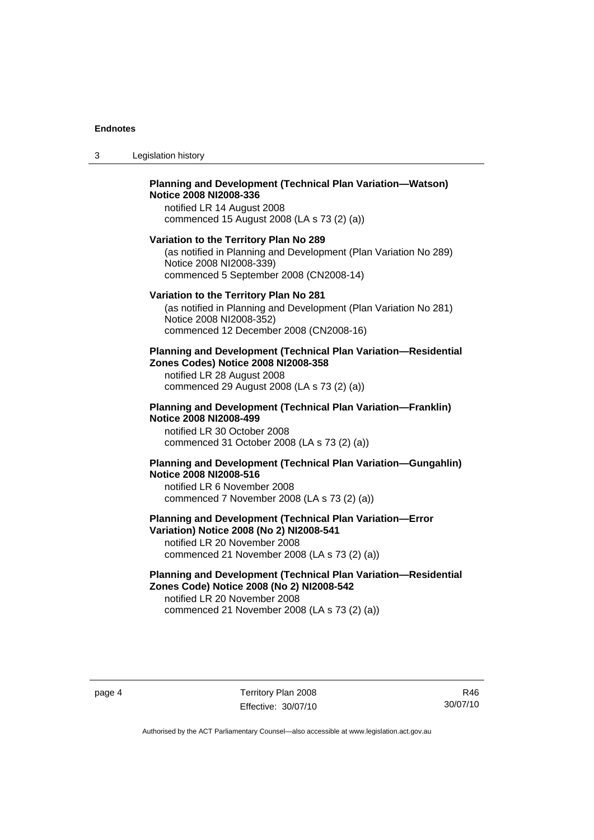3 Legislation history

#### **Planning and Development (Technical Plan Variation—Watson) Notice 2008 NI2008-336**  notified LR 14 August 2008

commenced 15 August 2008 (LA s 73 (2) (a))

#### **Variation to the Territory Plan No 289**

(as notified in Planning and Development (Plan Variation No 289) Notice 2008 NI2008-339) commenced 5 September 2008 (CN2008-14)

#### **Variation to the Territory Plan No 281**

(as notified in Planning and Development (Plan Variation No 281) Notice 2008 NI2008-352) commenced 12 December 2008 (CN2008-16)

#### **Planning and Development (Technical Plan Variation—Residential Zones Codes) Notice 2008 NI2008-358**

notified LR 28 August 2008 commenced 29 August 2008 (LA s 73 (2) (a))

#### **Planning and Development (Technical Plan Variation—Franklin) Notice 2008 NI2008-499**

notified LR 30 October 2008 commenced 31 October 2008 (LA s 73 (2) (a))

### **Planning and Development (Technical Plan Variation—Gungahlin) Notice 2008 NI2008-516**

notified LR 6 November 2008 commenced 7 November 2008 (LA s 73 (2) (a))

### **Planning and Development (Technical Plan Variation—Error Variation) Notice 2008 (No 2) NI2008-541**

notified LR 20 November 2008 commenced 21 November 2008 (LA s 73 (2) (a))

### **Planning and Development (Technical Plan Variation—Residential Zones Code) Notice 2008 (No 2) NI2008-542**

notified LR 20 November 2008 commenced 21 November 2008 (LA s 73 (2) (a))

R46 30/07/10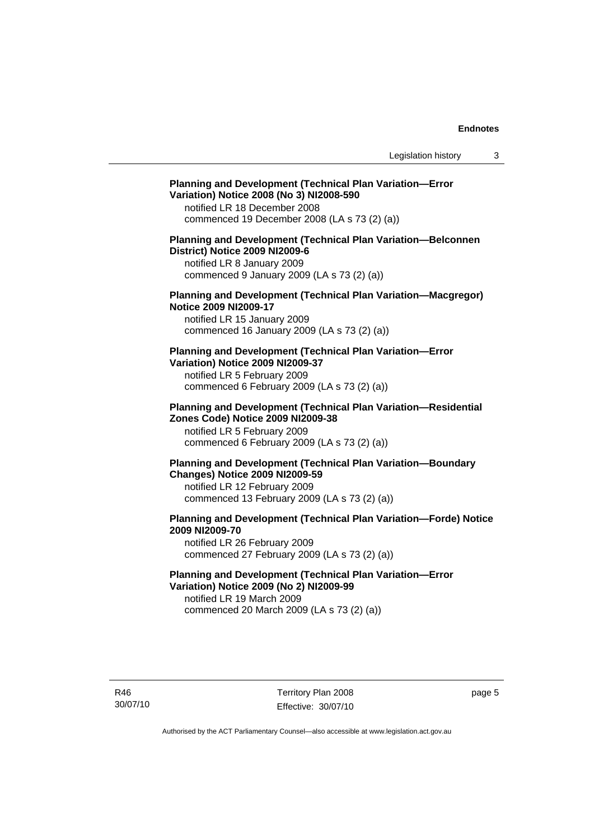## **Planning and Development (Technical Plan Variation—Error Variation) Notice 2008 (No 3) NI2008-590**

notified LR 18 December 2008 commenced 19 December 2008 (LA s 73 (2) (a))

#### **Planning and Development (Technical Plan Variation—Belconnen District) Notice 2009 NI2009-6**

notified LR 8 January 2009 commenced 9 January 2009 (LA s 73 (2) (a))

#### **Planning and Development (Technical Plan Variation—Macgregor) Notice 2009 NI2009-17**

notified LR 15 January 2009 commenced 16 January 2009 (LA s 73 (2) (a))

#### **Planning and Development (Technical Plan Variation—Error Variation) Notice 2009 NI2009-37**

notified LR 5 February 2009 commenced 6 February 2009 (LA s 73 (2) (a))

#### **Planning and Development (Technical Plan Variation—Residential Zones Code) Notice 2009 NI2009-38**

notified LR 5 February 2009 commenced 6 February 2009 (LA s 73 (2) (a))

#### **Planning and Development (Technical Plan Variation—Boundary Changes) Notice 2009 NI2009-59**

notified LR 12 February 2009 commenced 13 February 2009 (LA s 73 (2) (a))

### **Planning and Development (Technical Plan Variation—Forde) Notice 2009 NI2009-70**

notified LR 26 February 2009 commenced 27 February 2009 (LA s 73 (2) (a))

### **Planning and Development (Technical Plan Variation—Error Variation) Notice 2009 (No 2) NI2009-99**

notified LR 19 March 2009 commenced 20 March 2009 (LA s 73 (2) (a))

R46 30/07/10 Territory Plan 2008 Effective: 30/07/10 page 5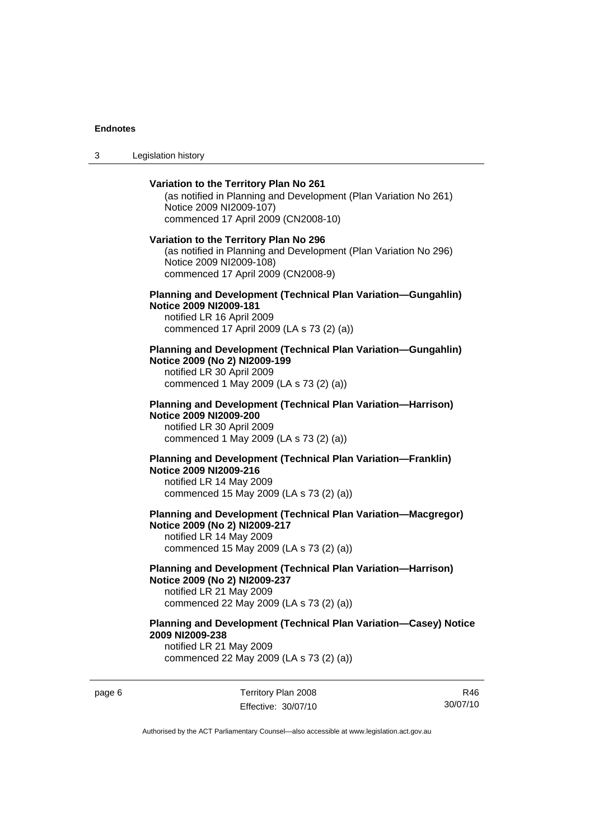3 Legislation history

### **Variation to the Territory Plan No 261**  (as notified in Planning and Development (Plan Variation No 261) Notice 2009 NI2009-107) commenced 17 April 2009 (CN2008-10) **Variation to the Territory Plan No 296**  (as notified in Planning and Development (Plan Variation No 296) Notice 2009 NI2009-108) commenced 17 April 2009 (CN2008-9) **Planning and Development (Technical Plan Variation—Gungahlin) Notice 2009 NI2009-181**  notified LR 16 April 2009 commenced 17 April 2009 (LA s 73 (2) (a)) **Planning and Development (Technical Plan Variation—Gungahlin) Notice 2009 (No 2) NI2009-199**  notified LR 30 April 2009 commenced 1 May 2009 (LA s 73 (2) (a)) **Planning and Development (Technical Plan Variation—Harrison) Notice 2009 NI2009-200**  notified LR 30 April 2009 commenced 1 May 2009 (LA s 73 (2) (a)) **Planning and Development (Technical Plan Variation—Franklin) Notice 2009 NI2009-216**  notified LR 14 May 2009 commenced 15 May 2009 (LA s 73 (2) (a)) **Planning and Development (Technical Plan Variation—Macgregor) Notice 2009 (No 2) NI2009-217**  notified LR 14 May 2009 commenced 15 May 2009 (LA s 73 (2) (a)) **Planning and Development (Technical Plan Variation—Harrison) Notice 2009 (No 2) NI2009-237**  notified LR 21 May 2009 commenced 22 May 2009 (LA s 73 (2) (a)) **Planning and Development (Technical Plan Variation—Casey) Notice 2009 NI2009-238**  notified LR 21 May 2009

commenced 22 May 2009 (LA s 73 (2) (a))

page 6 Territory Plan 2008 Effective: 30/07/10

R46 30/07/10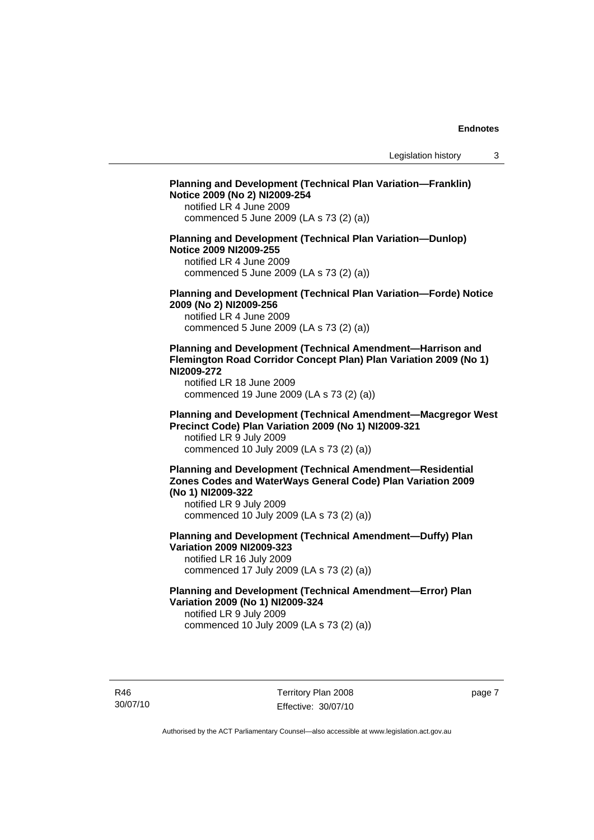### **Planning and Development (Technical Plan Variation—Franklin) Notice 2009 (No 2) NI2009-254**  notified LR 4 June 2009 commenced 5 June 2009 (LA s 73 (2) (a)) **Planning and Development (Technical Plan Variation—Dunlop) Notice 2009 NI2009-255**  notified LR 4 June 2009 commenced 5 June 2009 (LA s 73 (2) (a)) **Planning and Development (Technical Plan Variation—Forde) Notice 2009 (No 2) NI2009-256**  notified LR 4 June 2009 commenced 5 June 2009 (LA s 73 (2) (a)) **Planning and Development (Technical Amendment—Harrison and Flemington Road Corridor Concept Plan) Plan Variation 2009 (No 1) NI2009-272**  notified LR 18 June 2009 commenced 19 June 2009 (LA s 73 (2) (a)) **Planning and Development (Technical Amendment—Macgregor West Precinct Code) Plan Variation 2009 (No 1) NI2009-321**  notified LR 9 July 2009 commenced 10 July 2009 (LA s 73 (2) (a)) **Planning and Development (Technical Amendment—Residential Zones Codes and WaterWays General Code) Plan Variation 2009 (No 1) NI2009-322**  notified LR 9 July 2009 commenced 10 July 2009 (LA s 73 (2) (a)) **Planning and Development (Technical Amendment—Duffy) Plan Variation 2009 NI2009-323**  notified LR 16 July 2009 commenced 17 July 2009 (LA s 73 (2) (a)) **Planning and Development (Technical Amendment—Error) Plan Variation 2009 (No 1) NI2009-324**

notified LR 9 July 2009 commenced 10 July 2009 (LA s 73 (2) (a))

R46 30/07/10 Territory Plan 2008 Effective: 30/07/10 page 7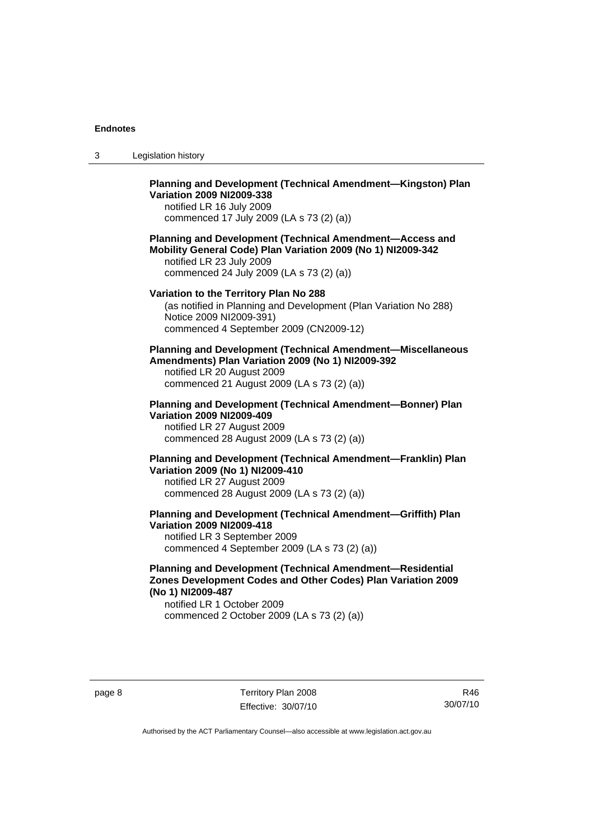3 Legislation history

### **Planning and Development (Technical Amendment—Kingston) Plan Variation 2009 NI2009-338**

notified LR 16 July 2009 commenced 17 July 2009 (LA s 73 (2) (a))

#### **Planning and Development (Technical Amendment—Access and Mobility General Code) Plan Variation 2009 (No 1) NI2009-342**  notified LR 23 July 2009 commenced 24 July 2009 (LA s 73 (2) (a))

**Variation to the Territory Plan No 288** 

(as notified in Planning and Development (Plan Variation No 288) Notice 2009 NI2009-391) commenced 4 September 2009 (CN2009-12)

**Planning and Development (Technical Amendment—Miscellaneous Amendments) Plan Variation 2009 (No 1) NI2009-392**  notified LR 20 August 2009

commenced 21 August 2009 (LA s 73 (2) (a))

### **Planning and Development (Technical Amendment—Bonner) Plan Variation 2009 NI2009-409**

notified LR 27 August 2009 commenced 28 August 2009 (LA s 73 (2) (a))

#### **Planning and Development (Technical Amendment—Franklin) Plan Variation 2009 (No 1) NI2009-410**  notified LR 27 August 2009 commenced 28 August 2009 (LA s 73 (2) (a))

**Planning and Development (Technical Amendment—Griffith) Plan Variation 2009 NI2009-418**  notified LR 3 September 2009 commenced 4 September 2009 (LA s 73 (2) (a))

### **Planning and Development (Technical Amendment—Residential Zones Development Codes and Other Codes) Plan Variation 2009 (No 1) NI2009-487**

notified LR 1 October 2009 commenced 2 October 2009 (LA s 73 (2) (a))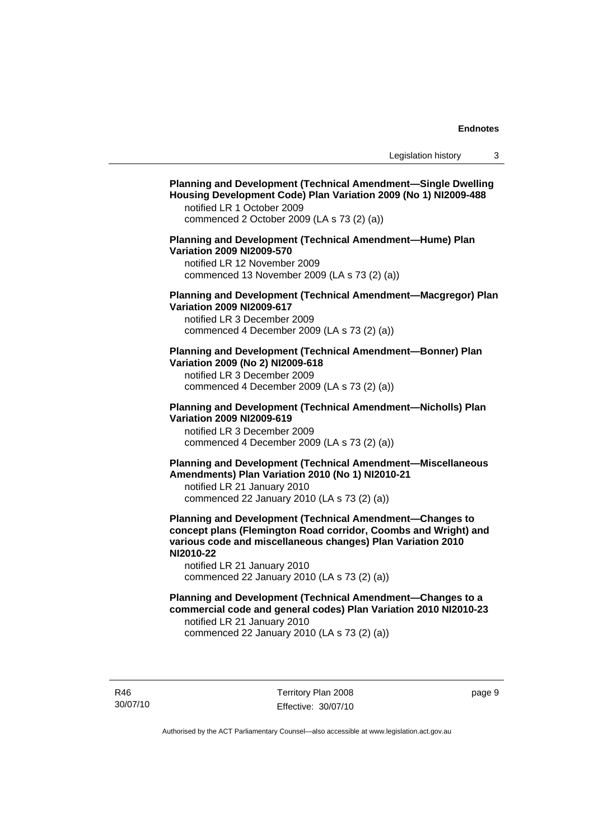## **Planning and Development (Technical Amendment—Single Dwelling Housing Development Code) Plan Variation 2009 (No 1) NI2009-488**  notified LR 1 October 2009 commenced 2 October 2009 (LA s 73 (2) (a)) **Planning and Development (Technical Amendment—Hume) Plan Variation 2009 NI2009-570**  notified LR 12 November 2009 commenced 13 November 2009 (LA s 73 (2) (a)) **Planning and Development (Technical Amendment—Macgregor) Plan Variation 2009 NI2009-617**  notified LR 3 December 2009 commenced 4 December 2009 (LA s 73 (2) (a)) **Planning and Development (Technical Amendment—Bonner) Plan Variation 2009 (No 2) NI2009-618**  notified LR 3 December 2009 commenced 4 December 2009 (LA s 73 (2) (a)) **Planning and Development (Technical Amendment—Nicholls) Plan Variation 2009 NI2009-619**  notified LR 3 December 2009 commenced 4 December 2009 (LA s 73 (2) (a)) **Planning and Development (Technical Amendment—Miscellaneous Amendments) Plan Variation 2010 (No 1) NI2010-21**  notified LR 21 January 2010 commenced 22 January 2010 (LA s 73 (2) (a)) **Planning and Development (Technical Amendment—Changes to concept plans (Flemington Road corridor, Coombs and Wright) and various code and miscellaneous changes) Plan Variation 2010 NI2010-22**  notified LR 21 January 2010 commenced 22 January 2010 (LA s 73 (2) (a)) **Planning and Development (Technical Amendment—Changes to a commercial code and general codes) Plan Variation 2010 NI2010-23**  notified LR 21 January 2010 commenced 22 January 2010 (LA s 73 (2) (a))

R46 30/07/10 Territory Plan 2008 Effective: 30/07/10 page 9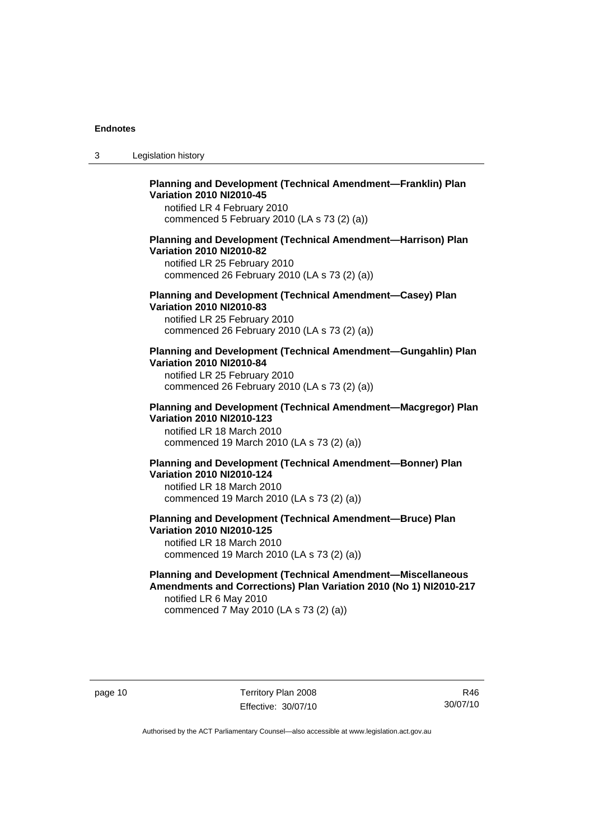3 Legislation history

### **Planning and Development (Technical Amendment—Franklin) Plan Variation 2010 NI2010-45**

notified LR 4 February 2010 commenced 5 February 2010 (LA s 73 (2) (a))

#### **Planning and Development (Technical Amendment—Harrison) Plan Variation 2010 NI2010-82**

notified LR 25 February 2010 commenced 26 February 2010 (LA s 73 (2) (a))

#### **Planning and Development (Technical Amendment—Casey) Plan Variation 2010 NI2010-83**

notified LR 25 February 2010 commenced 26 February 2010 (LA s 73 (2) (a))

#### **Planning and Development (Technical Amendment—Gungahlin) Plan Variation 2010 NI2010-84**

notified LR 25 February 2010 commenced 26 February 2010 (LA s 73 (2) (a))

#### **Planning and Development (Technical Amendment—Macgregor) Plan Variation 2010 NI2010-123**

notified LR 18 March 2010 commenced 19 March 2010 (LA s 73 (2) (a))

### **Planning and Development (Technical Amendment—Bonner) Plan Variation 2010 NI2010-124**

notified LR 18 March 2010 commenced 19 March 2010 (LA s 73 (2) (a))

### **Planning and Development (Technical Amendment—Bruce) Plan Variation 2010 NI2010-125**

notified LR 18 March 2010 commenced 19 March 2010 (LA s 73 (2) (a))

#### **Planning and Development (Technical Amendment—Miscellaneous Amendments and Corrections) Plan Variation 2010 (No 1) NI2010-217**  notified LR 6 May 2010 commenced 7 May 2010 (LA s 73 (2) (a))

page 10 Territory Plan 2008 Effective: 30/07/10

R46 30/07/10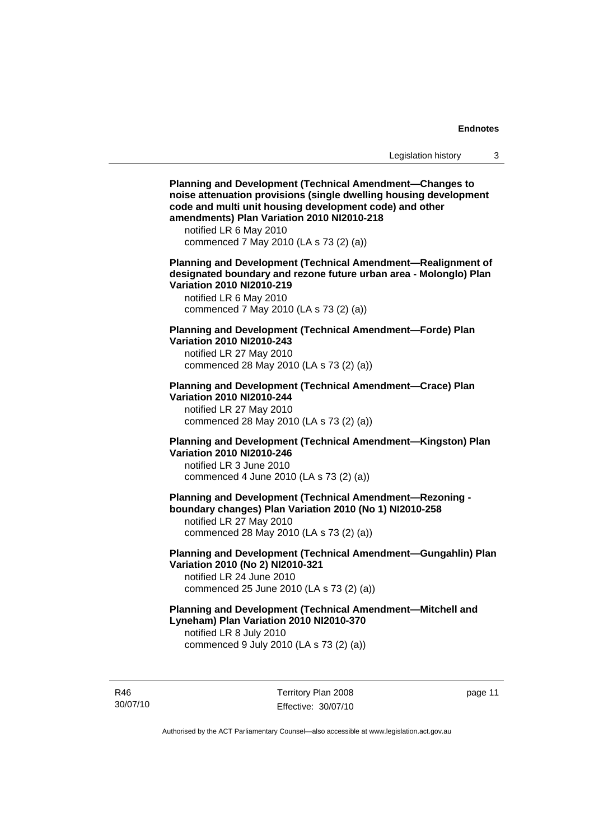**Planning and Development (Technical Amendment—Changes to noise attenuation provisions (single dwelling housing development code and multi unit housing development code) and other amendments) Plan Variation 2010 NI2010-218**  notified LR 6 May 2010 commenced 7 May 2010 (LA s 73 (2) (a)) **Planning and Development (Technical Amendment—Realignment of designated boundary and rezone future urban area - Molonglo) Plan Variation 2010 NI2010-219**  notified LR 6 May 2010 commenced 7 May 2010 (LA s 73 (2) (a)) **Planning and Development (Technical Amendment—Forde) Plan Variation 2010 NI2010-243**  notified LR 27 May 2010 commenced 28 May 2010 (LA s 73 (2) (a)) **Planning and Development (Technical Amendment—Crace) Plan Variation 2010 NI2010-244**  notified LR 27 May 2010 commenced 28 May 2010 (LA s 73 (2) (a)) **Planning and Development (Technical Amendment—Kingston) Plan Variation 2010 NI2010-246**  notified LR 3 June 2010 commenced 4 June 2010 (LA s 73 (2) (a)) **Planning and Development (Technical Amendment—Rezoning boundary changes) Plan Variation 2010 (No 1) NI2010-258**  notified LR 27 May 2010 commenced 28 May 2010 (LA s 73 (2) (a)) **Planning and Development (Technical Amendment—Gungahlin) Plan Variation 2010 (No 2) NI2010-321**  notified LR 24 June 2010 commenced 25 June 2010 (LA s 73 (2) (a)) **Planning and Development (Technical Amendment—Mitchell and Lyneham) Plan Variation 2010 NI2010-370**  notified LR 8 July 2010 commenced 9 July 2010 (LA s 73 (2) (a))

R46 30/07/10 Territory Plan 2008 Effective: 30/07/10 page 11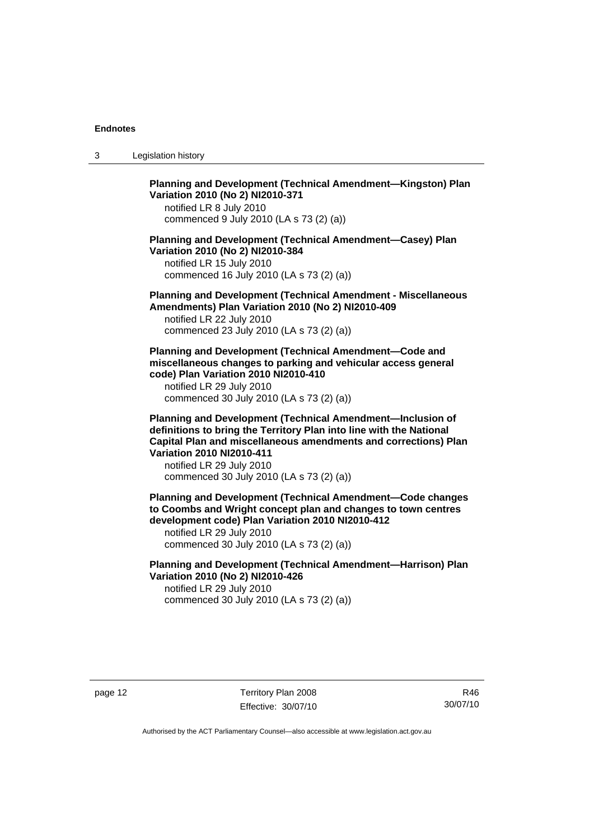3 Legislation history

### **Planning and Development (Technical Amendment—Kingston) Plan Variation 2010 (No 2) NI2010-371**

notified LR 8 July 2010 commenced 9 July 2010 (LA s 73 (2) (a))

#### **Planning and Development (Technical Amendment—Casey) Plan Variation 2010 (No 2) NI2010-384**

notified LR 15 July 2010 commenced 16 July 2010 (LA s 73 (2) (a))

**Planning and Development (Technical Amendment - Miscellaneous Amendments) Plan Variation 2010 (No 2) NI2010-409** 

notified LR 22 July 2010 commenced 23 July 2010 (LA s 73 (2) (a))

**Planning and Development (Technical Amendment—Code and miscellaneous changes to parking and vehicular access general code) Plan Variation 2010 NI2010-410** 

notified LR 29 July 2010 commenced 30 July 2010 (LA s 73 (2) (a))

**Planning and Development (Technical Amendment—Inclusion of definitions to bring the Territory Plan into line with the National Capital Plan and miscellaneous amendments and corrections) Plan Variation 2010 NI2010-411** 

notified LR 29 July 2010 commenced 30 July 2010 (LA s 73 (2) (a))

**Planning and Development (Technical Amendment—Code changes to Coombs and Wright concept plan and changes to town centres development code) Plan Variation 2010 NI2010-412** 

notified LR 29 July 2010 commenced 30 July 2010 (LA s 73 (2) (a))

#### **Planning and Development (Technical Amendment—Harrison) Plan Variation 2010 (No 2) NI2010-426**

notified LR 29 July 2010 commenced 30 July 2010 (LA s 73 (2) (a))

page 12 Territory Plan 2008 Effective: 30/07/10

R46 30/07/10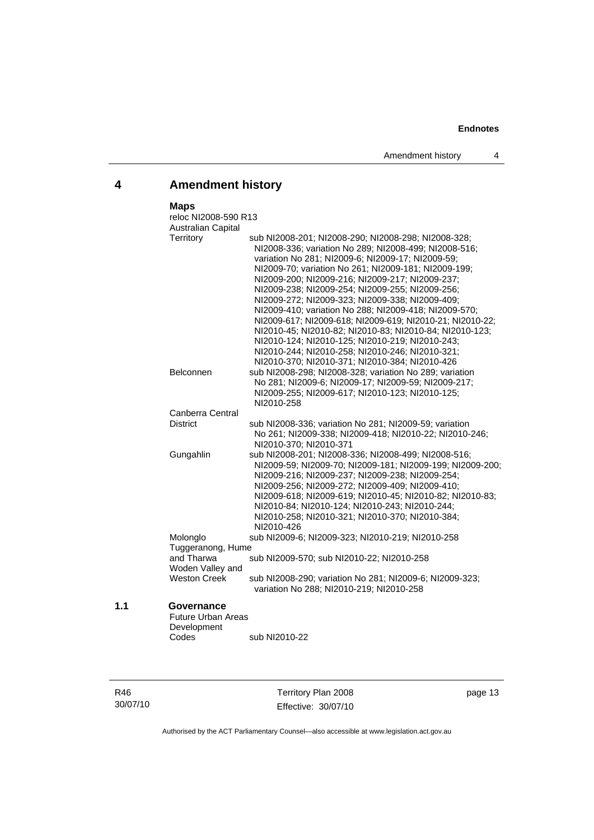## **4 Amendment history**

## **Maps**

| reloc NI2008-590 R13                                   |                                                                                                                                                                                                                                                                                                                                                                                                                                                                                                                                                                                                                                                                                                                             |
|--------------------------------------------------------|-----------------------------------------------------------------------------------------------------------------------------------------------------------------------------------------------------------------------------------------------------------------------------------------------------------------------------------------------------------------------------------------------------------------------------------------------------------------------------------------------------------------------------------------------------------------------------------------------------------------------------------------------------------------------------------------------------------------------------|
| <b>Australian Capital</b>                              |                                                                                                                                                                                                                                                                                                                                                                                                                                                                                                                                                                                                                                                                                                                             |
| Territory                                              | sub NI2008-201; NI2008-290; NI2008-298; NI2008-328;<br>NI2008-336; variation No 289; NI2008-499; NI2008-516;<br>variation No 281; NI2009-6; NI2009-17; NI2009-59;<br>NI2009-70; variation No 261; NI2009-181; NI2009-199;<br>NI2009-200; NI2009-216; NI2009-217; NI2009-237;<br>NI2009-238; NI2009-254; NI2009-255; NI2009-256;<br>NI2009-272; NI2009-323; NI2009-338; NI2009-409;<br>NI2009-410; variation No 288; NI2009-418; NI2009-570;<br>NI2009-617; NI2009-618; NI2009-619; NI2010-21; NI2010-22;<br>NI2010-45; NI2010-82; NI2010-83; NI2010-84; NI2010-123;<br>NI2010-124; NI2010-125; NI2010-219; NI2010-243;<br>NI2010-244; NI2010-258; NI2010-246; NI2010-321;<br>NI2010-370; NI2010-371; NI2010-384; NI2010-426 |
| <b>Belconnen</b>                                       | sub NI2008-298; NI2008-328; variation No 289; variation<br>No 281; NI2009-6; NI2009-17; NI2009-59; NI2009-217;<br>NI2009-255; NI2009-617; NI2010-123; NI2010-125;<br>NI2010-258                                                                                                                                                                                                                                                                                                                                                                                                                                                                                                                                             |
| Canberra Central                                       |                                                                                                                                                                                                                                                                                                                                                                                                                                                                                                                                                                                                                                                                                                                             |
| <b>District</b>                                        | sub NI2008-336; variation No 281; NI2009-59; variation<br>No 261; NI2009-338; NI2009-418; NI2010-22; NI2010-246;<br>NI2010-370; NI2010-371                                                                                                                                                                                                                                                                                                                                                                                                                                                                                                                                                                                  |
| Gungahlin                                              | sub NI2008-201; NI2008-336; NI2008-499; NI2008-516;<br>NI2009-59; NI2009-70; NI2009-181; NI2009-199; NI2009-200;<br>NI2009-216; NI2009-237; NI2009-238; NI2009-254;<br>NI2009-256; NI2009-272; NI2009-409; NI2009-410;<br>NI2009-618; NI2009-619; NI2010-45; NI2010-82; NI2010-83;<br>NI2010-84; NI2010-124; NI2010-243; NI2010-244;<br>NI2010-258; NI2010-321; NI2010-370; NI2010-384;<br>NI2010-426                                                                                                                                                                                                                                                                                                                       |
| Molonglo                                               | sub NI2009-6; NI2009-323; NI2010-219; NI2010-258                                                                                                                                                                                                                                                                                                                                                                                                                                                                                                                                                                                                                                                                            |
| Tuggeranong, Hume                                      |                                                                                                                                                                                                                                                                                                                                                                                                                                                                                                                                                                                                                                                                                                                             |
| and Tharwa<br>Woden Valley and                         | sub NI2009-570; sub NI2010-22; NI2010-258                                                                                                                                                                                                                                                                                                                                                                                                                                                                                                                                                                                                                                                                                   |
| <b>Weston Creek</b>                                    | sub NI2008-290; variation No 281; NI2009-6; NI2009-323;<br>variation No 288; NI2010-219; NI2010-258                                                                                                                                                                                                                                                                                                                                                                                                                                                                                                                                                                                                                         |
| Governance<br><b>Future Urban Areas</b><br>Development |                                                                                                                                                                                                                                                                                                                                                                                                                                                                                                                                                                                                                                                                                                                             |
| Codes                                                  | sub NI2010-22                                                                                                                                                                                                                                                                                                                                                                                                                                                                                                                                                                                                                                                                                                               |

R46 30/07/10

**1.1 Governance** 

Territory Plan 2008 Effective: 30/07/10 page 13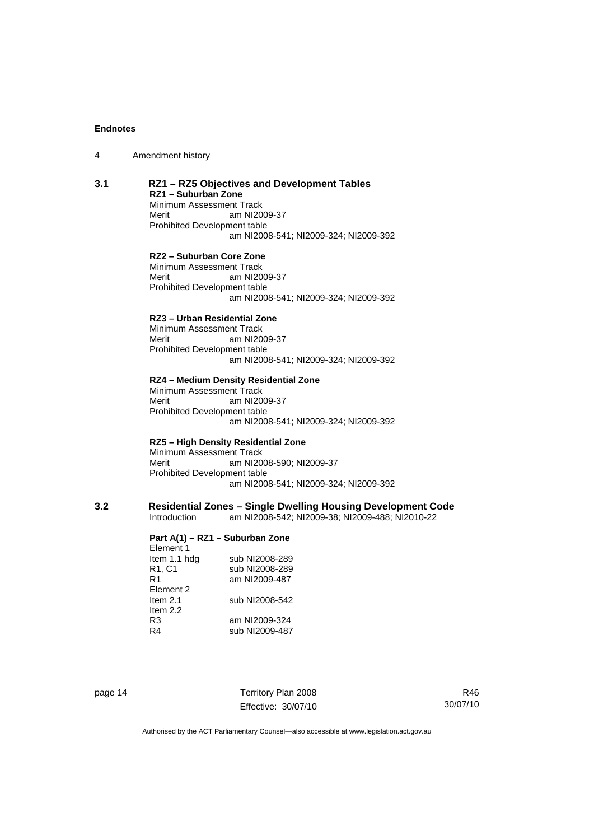| 4 | Amendment history |
|---|-------------------|
|---|-------------------|

#### **3.1 RZ1 – RZ5 Objectives and Development Tables RZ1 – Suburban Zone**  Minimum Assessment Track

Merit am NI2009-37 Prohibited Development table am NI2008-541; NI2009-324; NI2009-392

#### **RZ2 – Suburban Core Zone**

Minimum Assessment Track<br>Merit am NI20 am NI2009-37 Prohibited Development table am NI2008-541; NI2009-324; NI2009-392

#### **RZ3 – Urban Residential Zone**

Minimum Assessment Track Merit am NI2009-37 Prohibited Development table am NI2008-541; NI2009-324; NI2009-392

**RZ4 – Medium Density Residential Zone** 

Minimum Assessment Track<br>Merit am NI20 am NI2009-37 Prohibited Development table am NI2008-541; NI2009-324; NI2009-392

#### **RZ5 – High Density Residential Zone**

Minimum Assessment Track<br>Merit am NI20 am NI2008-590; NI2009-37 Prohibited Development table am NI2008-541; NI2009-324; NI2009-392

#### **3.2 Residential Zones – Single Dwelling Housing Development Code**  am NI2008-542; NI2009-38; NI2009-488; NI2010-22

#### **Part A(1) – RZ1 – Suburban Zone**

| Element 1    |                |
|--------------|----------------|
| Item 1.1 hdg | sub NI2008-289 |
| R1, C1       | sub NI2008-289 |
| R1           | am NI2009-487  |
| Element 2    |                |
| Item $2.1$   | sub NI2008-542 |
| Item $2.2$   |                |
| R3           | am NI2009-324  |
| R4           | sub NI2009-487 |
|              |                |

page 14 Territory Plan 2008 Effective: 30/07/10

R46 30/07/10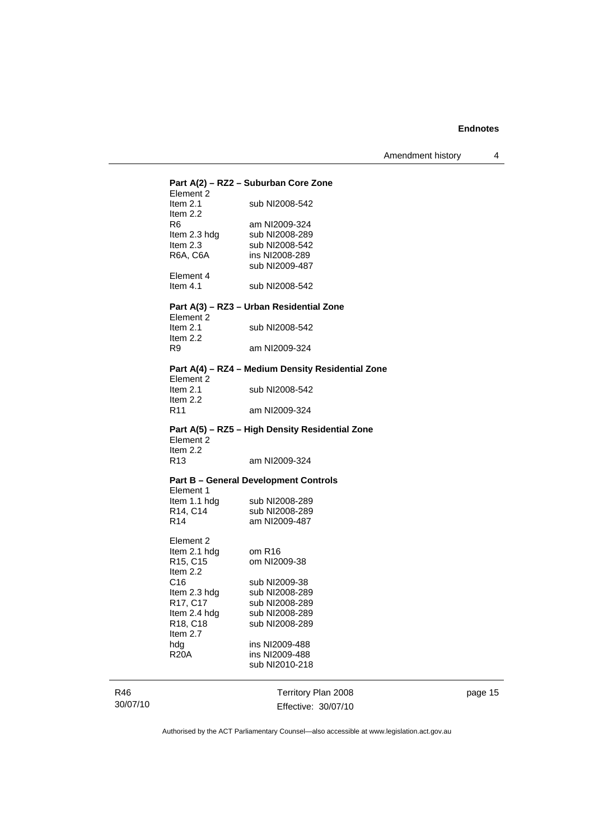|                                               | Part A(2) - RZ2 - Suburban Core Zone              |
|-----------------------------------------------|---------------------------------------------------|
| Element 2                                     |                                                   |
| Item 2.1                                      | sub NI2008-542                                    |
| Item $2.2$                                    |                                                   |
| R6                                            | am NI2009-324                                     |
| Item 2.3 hdg                                  | sub NI2008-289                                    |
| Item $2.3$                                    | sub NI2008-542                                    |
| R6A, C6A                                      | ins NI2008-289                                    |
|                                               | sub NI2009-487                                    |
| Element 4                                     |                                                   |
| Item $4.1$                                    | sub NI2008-542                                    |
|                                               | Part A(3) - RZ3 - Urban Residential Zone          |
| Element 2                                     |                                                   |
| Item $2.1$                                    | sub NI2008-542                                    |
| Item $2.2$                                    |                                                   |
| R9                                            | am NI2009-324                                     |
|                                               |                                                   |
| Element 2                                     | Part A(4) - RZ4 - Medium Density Residential Zone |
| Item 2.1                                      | sub NI2008-542                                    |
| Item 2.2                                      |                                                   |
| R11                                           | am NI2009-324                                     |
|                                               |                                                   |
|                                               | Part A(5) – RZ5 – High Density Residential Zone   |
| Element 2                                     |                                                   |
| Item $2.2$                                    |                                                   |
| R13                                           | am NI2009-324                                     |
|                                               | <b>Part B - General Development Controls</b>      |
| Element 1                                     |                                                   |
| Item 1.1 hdg                                  | sub NI2008-289                                    |
| R14, C14                                      | sub NI2008-289                                    |
| R14                                           | am NI2009-487                                     |
|                                               |                                                   |
| Element 2                                     |                                                   |
| Item 2.1 hdg                                  | om R <sub>16</sub>                                |
| R <sub>15</sub> , C <sub>15</sub><br>Item 2.2 | om NI2009-38                                      |
| C16                                           |                                                   |
|                                               | sub NI2009-38<br>sub NI2008-289                   |
| Item 2.3 hdg                                  |                                                   |
| R17, C17<br>Item 2.4 hdg                      | sub NI2008-289<br>sub NI2008-289                  |
| R <sub>18</sub> , C <sub>18</sub>             | sub NI2008-289                                    |
| Item $2.7$                                    |                                                   |
| hdg                                           | ins NI2009-488                                    |
| <b>R20A</b>                                   | ins NI2009-488                                    |
|                                               | sub NI2010-218                                    |
|                                               |                                                   |
|                                               | Territory Plan 2008                               |
|                                               |                                                   |
|                                               | Effective: 30/07/10                               |

page 15

Authorised by the ACT Parliamentary Counsel—also accessible at www.legislation.act.gov.au

R46 30/07/10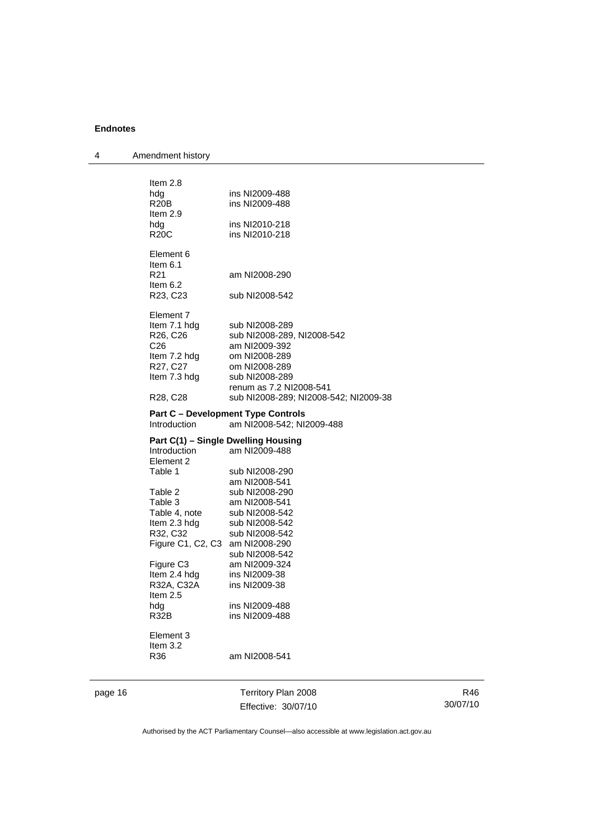4 Amendment history

| Item $2.5$<br>hdg<br>R32B<br>Element 3<br>Item 3.2<br>R36 | am NI2008-541                                                          |
|-----------------------------------------------------------|------------------------------------------------------------------------|
|                                                           |                                                                        |
|                                                           |                                                                        |
|                                                           | ins NI2009-488                                                         |
|                                                           | ins NI2009-488                                                         |
|                                                           |                                                                        |
| R32A, C32A                                                | ins NI2009-38                                                          |
| Item 2.4 hdg                                              | ins NI2009-38                                                          |
| Figure C3                                                 | am NI2009-324                                                          |
|                                                           | sub NI2008-542                                                         |
| Figure C1, C2, C3 am NI2008-290                           |                                                                        |
| R32, C32                                                  | sub NI2008-542                                                         |
| Table 4, note<br>Item 2.3 hdg                             | sub NI2008-542<br>sub NI2008-542                                       |
| Table 3                                                   | am NI2008-541                                                          |
| Table 2                                                   | sub NI2008-290                                                         |
|                                                           | am NI2008-541                                                          |
| Table 1                                                   | sub NI2008-290                                                         |
| Introduction<br>Element 2                                 | am NI2009-488                                                          |
|                                                           | Part C(1) - Single Dwelling Housing                                    |
| <b>Introduction</b>                                       | <b>Part C - Development Type Controls</b><br>am NI2008-542; NI2009-488 |
| R28, C28                                                  | sub NI2008-289; NI2008-542; NI2009-38                                  |
|                                                           | renum as 7.2 NI2008-541                                                |
| Item 7.3 hdg                                              | sub NI2008-289                                                         |
| R27, C27                                                  | om NI2008-289                                                          |
| Item 7.2 hdg                                              | om NI2008-289                                                          |
| C26                                                       | am NI2009-392                                                          |
| R26, C26                                                  | sub NI2008-289, NI2008-542                                             |
| Element 7<br>Item 7.1 hdg                                 | sub NI2008-289                                                         |
| R23, C23                                                  | sub NI2008-542                                                         |
| Item 6.1<br>R <sub>21</sub><br>Item $6.2$                 | am NI2008-290                                                          |
| Element 6                                                 |                                                                        |
| <b>R20C</b>                                               | ins NI2010-218                                                         |
| Item $2.9$                                                | ins NI2010-218                                                         |
|                                                           | ins NI2009-488<br>ins NI2009-488                                       |
| hdg<br>R20B                                               |                                                                        |
|                                                           | Item $2.8$<br>hdg                                                      |

R46 30/07/10

Authorised by the ACT Parliamentary Counsel—also accessible at www.legislation.act.gov.au

Effective: 30/07/10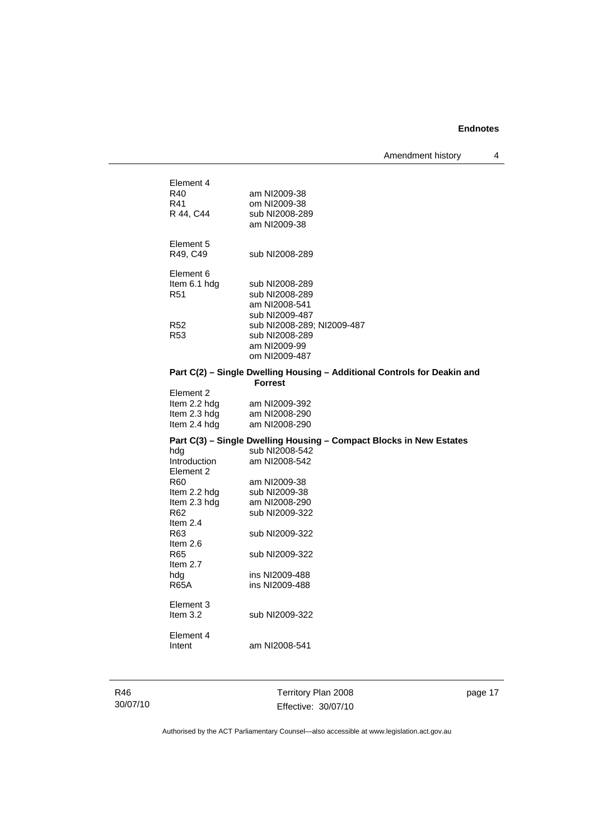| Element 4<br>R40    | am NI2009-38                                                             |
|---------------------|--------------------------------------------------------------------------|
| R41                 | om NI2009-38                                                             |
| R 44, C44           | sub NI2008-289                                                           |
|                     | am NI2009-38                                                             |
|                     |                                                                          |
| Element 5           |                                                                          |
| R49, C49            | sub NI2008-289                                                           |
|                     |                                                                          |
| Element 6           |                                                                          |
| Item 6.1 hdg<br>R51 | sub NI2008-289                                                           |
|                     | sub NI2008-289<br>am NI2008-541                                          |
|                     | sub NI2009-487                                                           |
| R <sub>52</sub>     | sub NI2008-289; NI2009-487                                               |
| R <sub>53</sub>     | sub NI2008-289                                                           |
|                     | am NI2009-99                                                             |
|                     | om NI2009-487                                                            |
|                     | Part C(2) - Single Dwelling Housing - Additional Controls for Deakin and |
|                     | <b>Forrest</b>                                                           |
| Element 2           |                                                                          |
| Item 2.2 hdg        | am NI2009-392                                                            |
| Item 2.3 hdg        | am NI2008-290                                                            |
| Item 2.4 hdg        | am NI2008-290                                                            |
|                     | Part C(3) - Single Dwelling Housing - Compact Blocks in New Estates      |
| hda                 | sub NI2008-542                                                           |
| Introduction        | am NI2008-542                                                            |
| Element 2           |                                                                          |
| R60                 | am NI2009-38                                                             |
| Item 2.2 hdg        | sub NI2009-38                                                            |
| Item 2.3 hdg        | am NI2008-290                                                            |
| R62                 | sub NI2009-322                                                           |
| Item $2.4$          |                                                                          |
| R63<br>Item 2.6     | sub NI2009-322                                                           |
| R65                 | sub NI2009-322                                                           |
| Item $2.7$          |                                                                          |
| hdg                 | ins NI2009-488                                                           |
| R65A                | ins NI2009-488                                                           |
|                     |                                                                          |
| Element 3           |                                                                          |
| Item $3.2$          | sub NI2009-322                                                           |
|                     |                                                                          |
| Element 4<br>Intent | am NI2008-541                                                            |
|                     |                                                                          |
|                     |                                                                          |
|                     |                                                                          |

R46 30/07/10

Territory Plan 2008 Effective: 30/07/10 page 17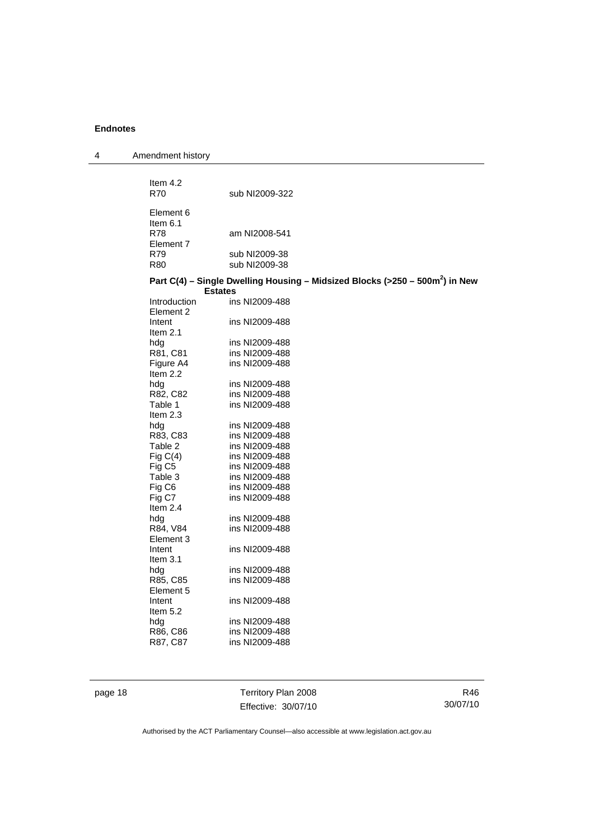4 Amendment history

| Item 4.2<br><b>R70</b>                                           | sub NI2009-322                                                                           |
|------------------------------------------------------------------|------------------------------------------------------------------------------------------|
| Element 6<br>Item $6.1$<br>R78<br>Element 7<br>R79<br><b>R80</b> | am NI2008-541<br>sub NI2009-38<br>sub NI2009-38                                          |
|                                                                  | Part C(4) – Single Dwelling Housing – Midsized Blocks (>250 – 500m <sup>2</sup> ) in New |
| <b>Estates</b>                                                   |                                                                                          |
| Introduction<br>Element 2                                        | ins NI2009-488                                                                           |
| Intent<br>Item 2.1                                               | ins NI2009-488                                                                           |
| hdg                                                              | ins NI2009-488                                                                           |
| R81, C81                                                         | ins NI2009-488                                                                           |
| Figure A4                                                        | ins NI2009-488                                                                           |
| Item $2.2$                                                       |                                                                                          |
| hdg                                                              | ins NI2009-488                                                                           |
| R82, C82                                                         | ins NI2009-488                                                                           |
| Table 1<br>Item $2.3$                                            | ins NI2009-488                                                                           |
| hdg                                                              | ins NI2009-488                                                                           |
| R83, C83                                                         | ins NI2009-488                                                                           |
| Table 2                                                          | ins NI2009-488                                                                           |
| Fig $C(4)$                                                       | ins NI2009-488                                                                           |
| Fig C <sub>5</sub>                                               | ins NI2009-488                                                                           |
| Table 3                                                          | ins NI2009-488                                                                           |
| Fig C6                                                           | ins NI2009-488                                                                           |
| Fig C7                                                           | ins NI2009-488                                                                           |
| Item $2.4$                                                       |                                                                                          |
| hdg<br>R84, V84                                                  | ins NI2009-488<br>ins NI2009-488                                                         |
| Element 3                                                        |                                                                                          |
| Intent                                                           | ins NI2009-488                                                                           |
| Item $3.1$                                                       |                                                                                          |
| hdg                                                              | ins NI2009-488                                                                           |
| R85, C85                                                         | ins NI2009-488                                                                           |
| Element 5                                                        |                                                                                          |
| Intent                                                           | ins NI2009-488                                                                           |
| Item 5.2                                                         |                                                                                          |
| hdg                                                              | ins NI2009-488                                                                           |
| R86, C86                                                         | ins NI2009-488                                                                           |
| R87, C87                                                         | ins NI2009-488                                                                           |
|                                                                  |                                                                                          |

page 18 Territory Plan 2008 Effective: 30/07/10

R46 30/07/10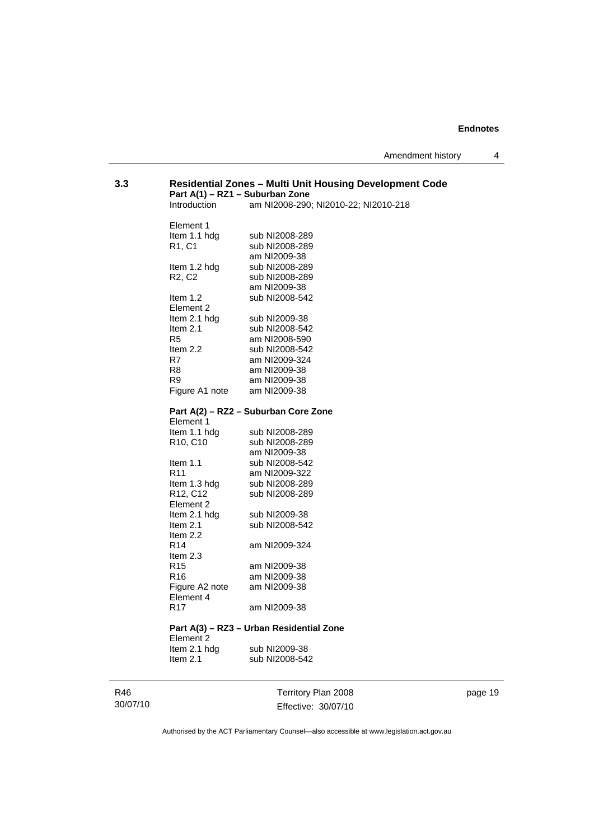#### **3.3 Residential Zones – Multi Unit Housing Development Code Part A(1) – RZ1 – Suburban Zone**  am NI2008-290; NI2010-22; NI2010-218 Element 1<br>Item 1.1 hda sub NI2008-289 R1, C1 sub NI2008-289 am NI2009-38<br>Item 1.2 hdg sub NI2008-28 Item 1.2 hdg sub NI2008-289<br>R2, C2 sub NI2008-289 sub NI2008-289 am NI2009-38 Item 1.2 sub NI2008-542 Element 2 Item 2.1 hdg sub NI2009-38<br>Item 2.1 sub NI2008-54 Item 2.1 sub NI2008-542<br>R5 am NI2008-590 am NI2008-590 Item 2.2 sub NI2008-542<br>R7 am NI2009-324 R7 am NI2009-324<br>R8 am NI2009-38 am NI2009-38 R9 am NI2009-38 Figure A1 note am NI2009-38 **Part A(2) – RZ2 – Suburban Core Zone**  Element 1<br>Item 1.1 hdg Item 1.1 hdg sub NI2008-289<br>R10, C10 sub NI2008-289 sub NI2008-289 am NI2009-38<br>sub NI2008-54<br>sub NI2008-54 sub NI2008-542 R11 am NI2009-322 Item 1.3 hdg sub NI2008-289<br>R12, C12 sub NI2008-289 sub NI2008-289 Element 2 Item 2.1 hdg sub NI2009-38 Item 2.1 sub NI2008-542 Item 2.2 R14 am NI2009-324 Item  $2.3$ <br>R<sub>15</sub> am NI2009-38 R16 am NI2009-38 Figure A2 note am NI2009-38 Element 4 R17 am NI2009-38 **Part A(3) – RZ3 – Urban Residential Zone**  Element 2<br>Item 2.1 hdg sub NI2009-38 Item 2.1 sub NI2008-542

R46 30/07/10 Territory Plan 2008 Effective: 30/07/10 page 19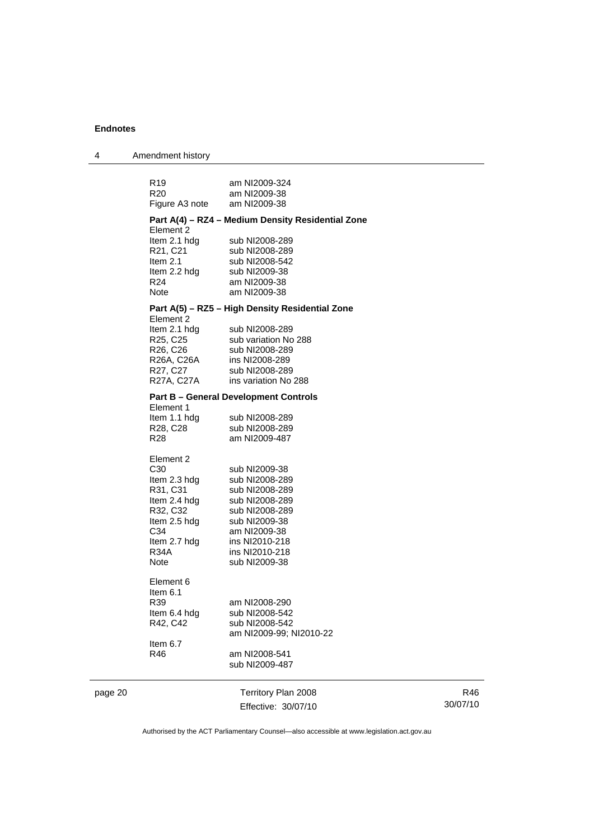page 20

4 Amendment history

| R <sub>19</sub><br>R20<br>Figure A3 note am NI2009-38                                                                           | am NI2009-324<br>am NI2009-38                                                                                                                                                                               |
|---------------------------------------------------------------------------------------------------------------------------------|-------------------------------------------------------------------------------------------------------------------------------------------------------------------------------------------------------------|
| Element 2<br>Item 2.1 hdg<br>R21, C21<br>Item 2.1<br>Item 2.2 hdg<br>R24<br>Note                                                | Part A(4) - RZ4 - Medium Density Residential Zone<br>sub NI2008-289<br>sub NI2008-289<br>sub NI2008-542<br>sub NI2009-38<br>am NI2009-38<br>am NI2009-38<br>Part A(5) - RZ5 - High Density Residential Zone |
| Element 2<br>Item 2.1 hdg<br>R25, C25<br>R26, C26<br>R26A, C26A<br>R27, C27<br>R27A, C27A                                       | sub NI2008-289<br>sub variation No 288<br>sub NI2008-289<br>ins NI2008-289<br>sub NI2008-289<br>ins variation No 288                                                                                        |
| Element 1<br>Item 1.1 hdg<br>R28, C28<br>R28                                                                                    | <b>Part B - General Development Controls</b><br>sub NI2008-289<br>sub NI2008-289<br>am NI2009-487                                                                                                           |
| Element 2<br>C30<br>Item 2.3 hdg<br>R31, C31<br>Item 2.4 hdg<br>R32, C32<br>Item 2.5 hdg<br>C34<br>Item 2.7 hdg<br>R34A<br>Note | sub NI2009-38<br>sub NI2008-289<br>sub NI2008-289<br>sub NI2008-289<br>sub NI2008-289<br>sub NI2009-38<br>am NI2009-38<br>ins NI2010-218<br>ins NI2010-218<br>sub NI2009-38                                 |
| Element 6<br>Item $6.1$<br>R39<br>Item 6.4 hdg<br>R42, C42<br>Item 6.7<br>R46                                                   | am NI2008-290<br>sub NI2008-542<br>sub NI2008-542<br>am NI2009-99; NI2010-22<br>am NI2008-541<br>sub NI2009-487                                                                                             |
|                                                                                                                                 | Territory Plan 2008<br>Effective: 30/07/10                                                                                                                                                                  |

R46 30/07/10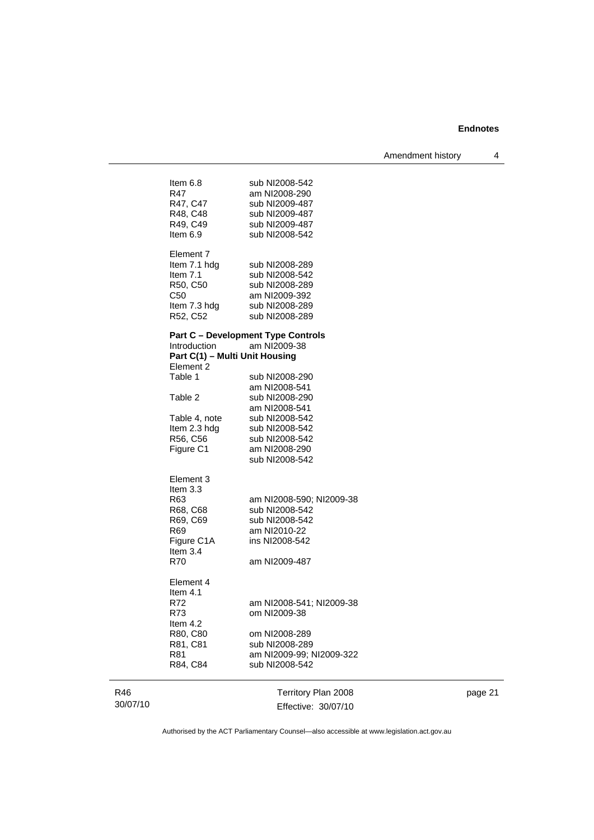Amendment history 4

| Item 7.3 hdg<br>R52, C52<br>Introduction<br>Part C(1) - Multi Unit Housing<br>Element 2<br>Table 1<br>Table 2<br>Table 4, note<br>Item 2.3 hdg<br>R56, C56<br>Figure C1<br>Element 3<br>Item $3.3$<br>R63<br>R68, C68<br>R69, C69<br>R69<br>Figure C1A<br>Item 3.4<br>R70<br>Element 4<br>Item 4.1<br>R72<br>R73<br>Item 4.2<br>R80, C80<br>R81, C81<br>R81<br>R84, C84 | sub NI2008-289<br><b>Part C - Development Type Controls</b><br>am NI2009-38<br>sub NI2008-290<br>am NI2008-541<br>sub NI2008-290<br>am NI2008-541<br>sub NI2008-542<br>sub NI2008-542<br>sub NI2008-542<br>am NI2008-290<br>sub NI2008-542<br>am NI2008-590; NI2009-38<br>sub NI2008-542<br>sub NI2008-542<br>am NI2010-22<br>ins NI2008-542<br>am NI2009-487<br>am NI2008-541; NI2009-38<br>om NI2009-38<br>om NI2008-289<br>sub NI2008-289<br>am NI2009-99; NI2009-322<br>sub NI2008-542 |                                                                                       |
|-------------------------------------------------------------------------------------------------------------------------------------------------------------------------------------------------------------------------------------------------------------------------------------------------------------------------------------------------------------------------|--------------------------------------------------------------------------------------------------------------------------------------------------------------------------------------------------------------------------------------------------------------------------------------------------------------------------------------------------------------------------------------------------------------------------------------------------------------------------------------------|---------------------------------------------------------------------------------------|
|                                                                                                                                                                                                                                                                                                                                                                         |                                                                                                                                                                                                                                                                                                                                                                                                                                                                                            |                                                                                       |
|                                                                                                                                                                                                                                                                                                                                                                         |                                                                                                                                                                                                                                                                                                                                                                                                                                                                                            |                                                                                       |
|                                                                                                                                                                                                                                                                                                                                                                         |                                                                                                                                                                                                                                                                                                                                                                                                                                                                                            |                                                                                       |
|                                                                                                                                                                                                                                                                                                                                                                         |                                                                                                                                                                                                                                                                                                                                                                                                                                                                                            |                                                                                       |
|                                                                                                                                                                                                                                                                                                                                                                         |                                                                                                                                                                                                                                                                                                                                                                                                                                                                                            |                                                                                       |
|                                                                                                                                                                                                                                                                                                                                                                         |                                                                                                                                                                                                                                                                                                                                                                                                                                                                                            |                                                                                       |
|                                                                                                                                                                                                                                                                                                                                                                         |                                                                                                                                                                                                                                                                                                                                                                                                                                                                                            |                                                                                       |
|                                                                                                                                                                                                                                                                                                                                                                         |                                                                                                                                                                                                                                                                                                                                                                                                                                                                                            |                                                                                       |
|                                                                                                                                                                                                                                                                                                                                                                         |                                                                                                                                                                                                                                                                                                                                                                                                                                                                                            |                                                                                       |
|                                                                                                                                                                                                                                                                                                                                                                         |                                                                                                                                                                                                                                                                                                                                                                                                                                                                                            |                                                                                       |
|                                                                                                                                                                                                                                                                                                                                                                         |                                                                                                                                                                                                                                                                                                                                                                                                                                                                                            |                                                                                       |
|                                                                                                                                                                                                                                                                                                                                                                         |                                                                                                                                                                                                                                                                                                                                                                                                                                                                                            |                                                                                       |
|                                                                                                                                                                                                                                                                                                                                                                         |                                                                                                                                                                                                                                                                                                                                                                                                                                                                                            |                                                                                       |
|                                                                                                                                                                                                                                                                                                                                                                         |                                                                                                                                                                                                                                                                                                                                                                                                                                                                                            |                                                                                       |
|                                                                                                                                                                                                                                                                                                                                                                         |                                                                                                                                                                                                                                                                                                                                                                                                                                                                                            |                                                                                       |
|                                                                                                                                                                                                                                                                                                                                                                         |                                                                                                                                                                                                                                                                                                                                                                                                                                                                                            |                                                                                       |
|                                                                                                                                                                                                                                                                                                                                                                         |                                                                                                                                                                                                                                                                                                                                                                                                                                                                                            |                                                                                       |
|                                                                                                                                                                                                                                                                                                                                                                         |                                                                                                                                                                                                                                                                                                                                                                                                                                                                                            |                                                                                       |
|                                                                                                                                                                                                                                                                                                                                                                         |                                                                                                                                                                                                                                                                                                                                                                                                                                                                                            |                                                                                       |
|                                                                                                                                                                                                                                                                                                                                                                         |                                                                                                                                                                                                                                                                                                                                                                                                                                                                                            |                                                                                       |
|                                                                                                                                                                                                                                                                                                                                                                         |                                                                                                                                                                                                                                                                                                                                                                                                                                                                                            |                                                                                       |
|                                                                                                                                                                                                                                                                                                                                                                         |                                                                                                                                                                                                                                                                                                                                                                                                                                                                                            |                                                                                       |
|                                                                                                                                                                                                                                                                                                                                                                         |                                                                                                                                                                                                                                                                                                                                                                                                                                                                                            |                                                                                       |
|                                                                                                                                                                                                                                                                                                                                                                         |                                                                                                                                                                                                                                                                                                                                                                                                                                                                                            |                                                                                       |
|                                                                                                                                                                                                                                                                                                                                                                         |                                                                                                                                                                                                                                                                                                                                                                                                                                                                                            |                                                                                       |
|                                                                                                                                                                                                                                                                                                                                                                         |                                                                                                                                                                                                                                                                                                                                                                                                                                                                                            |                                                                                       |
|                                                                                                                                                                                                                                                                                                                                                                         |                                                                                                                                                                                                                                                                                                                                                                                                                                                                                            |                                                                                       |
|                                                                                                                                                                                                                                                                                                                                                                         |                                                                                                                                                                                                                                                                                                                                                                                                                                                                                            |                                                                                       |
|                                                                                                                                                                                                                                                                                                                                                                         |                                                                                                                                                                                                                                                                                                                                                                                                                                                                                            |                                                                                       |
|                                                                                                                                                                                                                                                                                                                                                                         |                                                                                                                                                                                                                                                                                                                                                                                                                                                                                            |                                                                                       |
|                                                                                                                                                                                                                                                                                                                                                                         |                                                                                                                                                                                                                                                                                                                                                                                                                                                                                            |                                                                                       |
|                                                                                                                                                                                                                                                                                                                                                                         | sub NI2008-289                                                                                                                                                                                                                                                                                                                                                                                                                                                                             |                                                                                       |
| C50                                                                                                                                                                                                                                                                                                                                                                     | am NI2009-392                                                                                                                                                                                                                                                                                                                                                                                                                                                                              |                                                                                       |
| R50, C50                                                                                                                                                                                                                                                                                                                                                                | sub NI2008-289                                                                                                                                                                                                                                                                                                                                                                                                                                                                             |                                                                                       |
| Item 7.1                                                                                                                                                                                                                                                                                                                                                                | sub NI2008-542                                                                                                                                                                                                                                                                                                                                                                                                                                                                             |                                                                                       |
| Item 7.1 hdg                                                                                                                                                                                                                                                                                                                                                            | sub NI2008-289                                                                                                                                                                                                                                                                                                                                                                                                                                                                             |                                                                                       |
| Element 7                                                                                                                                                                                                                                                                                                                                                               |                                                                                                                                                                                                                                                                                                                                                                                                                                                                                            |                                                                                       |
|                                                                                                                                                                                                                                                                                                                                                                         |                                                                                                                                                                                                                                                                                                                                                                                                                                                                                            |                                                                                       |
| ltem 6.9                                                                                                                                                                                                                                                                                                                                                                |                                                                                                                                                                                                                                                                                                                                                                                                                                                                                            |                                                                                       |
|                                                                                                                                                                                                                                                                                                                                                                         |                                                                                                                                                                                                                                                                                                                                                                                                                                                                                            |                                                                                       |
|                                                                                                                                                                                                                                                                                                                                                                         |                                                                                                                                                                                                                                                                                                                                                                                                                                                                                            |                                                                                       |
| R47                                                                                                                                                                                                                                                                                                                                                                     |                                                                                                                                                                                                                                                                                                                                                                                                                                                                                            |                                                                                       |
|                                                                                                                                                                                                                                                                                                                                                                         | sub NI2008-542                                                                                                                                                                                                                                                                                                                                                                                                                                                                             |                                                                                       |
|                                                                                                                                                                                                                                                                                                                                                                         |                                                                                                                                                                                                                                                                                                                                                                                                                                                                                            |                                                                                       |
|                                                                                                                                                                                                                                                                                                                                                                         | Item 6.8<br>R47, C47<br>R48, C48<br>R49, C49                                                                                                                                                                                                                                                                                                                                                                                                                                               | am NI2008-290<br>sub NI2009-487<br>sub NI2009-487<br>sub NI2009-487<br>sub NI2008-542 |

30/07/10

Effective: 30/07/10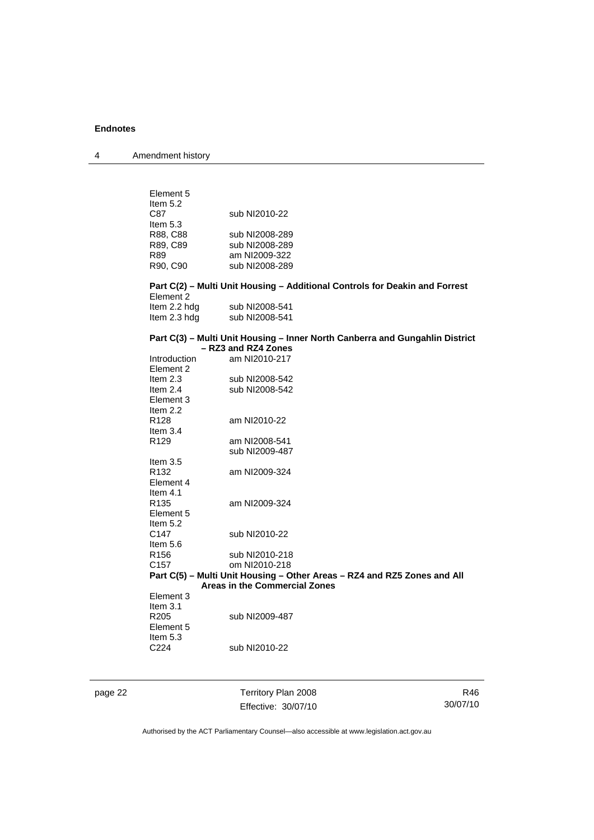4 Amendment history

Element 5 Item 5.2<br>C87 sub NI2010-22 Item 5.3 R88, C88 sub NI2008-289<br>R89, C89 sub NI2008-289 R89, C89 sub NI2008-289<br>R89 am NI2009-322 am NI2009-322 R90, C90 sub NI2008-289 **Part C(2) – Multi Unit Housing – Additional Controls for Deakin and Forrest**  Element 2 Item 2.2 hdg sub NI2008-541<br>Item 2.3 hdg sub NI2008-541 sub NI2008-541 **Part C(3) – Multi Unit Housing – Inner North Canberra and Gungahlin District – RZ3 and RZ4 Zones**  Introduction am NI2010-217 Element 2<br>Item 2.3 Item 2.3 sub NI2008-542<br>Item 2.4 sub NI2008-542 sub NI2008-542 Element 3 Item 2.2<br>R128 am NI2010-22 Item 3.4<br>R129 am NI2008-541 sub NI2009-487 Item 3.5<br>R132 am NI2009-324 Element 4 Item 4.1 R135 am NI2009-324 Element 5 Item 5.2 C147 sub NI2010-22 Item 5.6<br>R156 sub NI2010-218 C157 om NI2010-218 **Part C(5) – Multi Unit Housing – Other Areas – RZ4 and RZ5 Zones and All Areas in the Commercial Zones**  Element 3 Item 3.1<br>R205 sub NI2009-487 Element 5 Item 5.3 C224 sub NI2010-22

page 22 Territory Plan 2008 Effective: 30/07/10

R46 30/07/10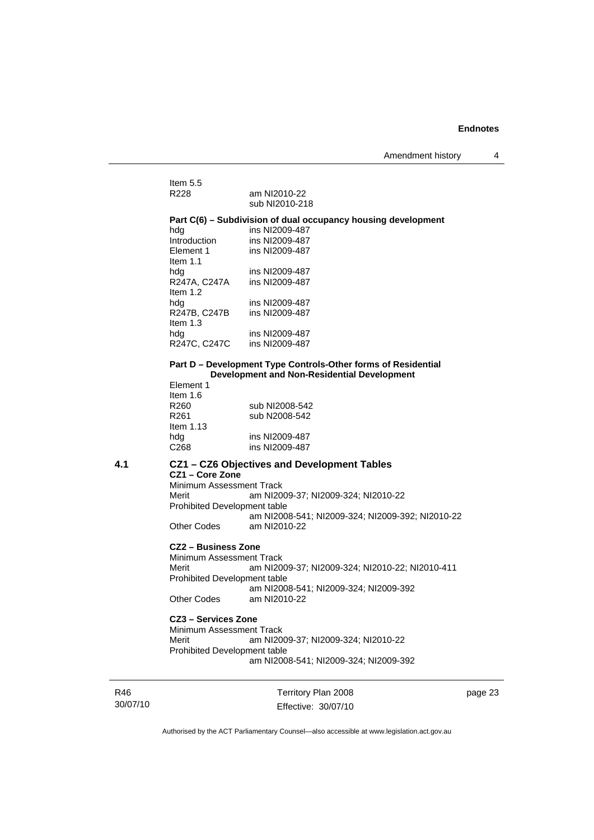Item 5.5<br>R228 am NI2010-22 sub NI2010-218 **Part C(6) – Subdivision of dual occupancy housing development**  hdg ins NI2009-487 Introduction ins NI2009-487 Element 1 ins NI2009-487 Item 1.1 hdg ins NI2009-487<br>R247A, C247A ins NI2009-487 R247A, C247A Item 1.2<br>hda hdg ins NI2009-487<br>R247B, C247B ins NI2009-487 ins NI2009-487 Item 1.3 hdg **ins NI2009-487** R247C, C247C ins NI2009-487

#### **Part D – Development Type Controls-Other forms of Residential Development and Non-Residential Development**

| Element 1        |                |
|------------------|----------------|
| Item $1.6$       |                |
| R <sub>260</sub> | sub NI2008-542 |
| R261             | sub N2008-542  |
| Item $1.13$      |                |
| hdg              | ins NI2009-487 |
| C <sub>268</sub> | ins NI2009-487 |
|                  |                |

#### **4.1 CZ1 – CZ6 Objectives and Development Tables CZ1 – Core Zone**  Minimum Assessment Track<br>Merit am NI20 am NI2009-37; NI2009-324; NI2010-22

Prohibited Development table am NI2008-541; NI2009-324; NI2009-392; NI2010-22 Other Codes am NI2010-22

**CZ2 – Business Zone**  Minimum Assessment Track Merit am NI2009-37; NI2009-324; NI2010-22; NI2010-411 Prohibited Development table am NI2008-541; NI2009-324; NI2009-392 Other Codes am NI2010-22

**CZ3 – Services Zone**  Minimum Assessment Track Merit am NI2009-37; NI2009-324; NI2010-22 Prohibited Development table am NI2008-541; NI2009-324; NI2009-392

R46 30/07/10 Territory Plan 2008 Effective: 30/07/10 page 23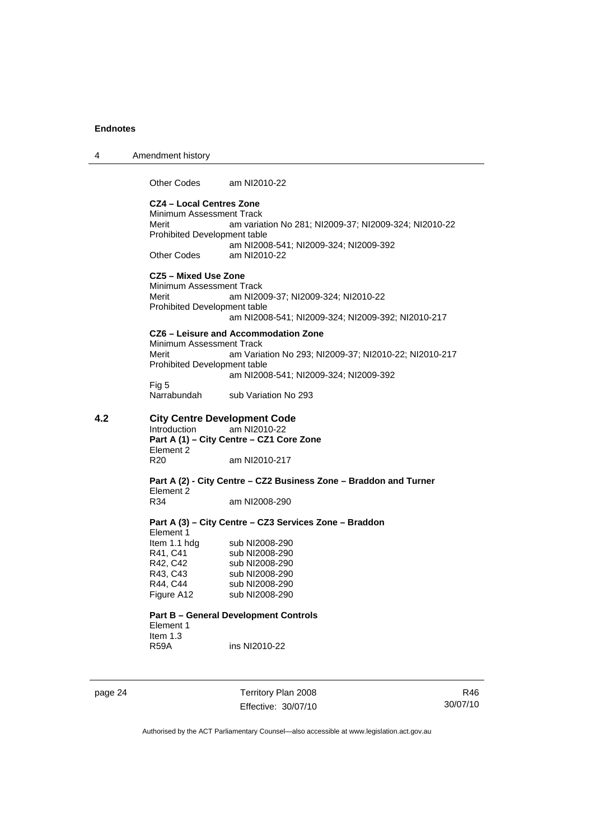| 4   | Amendment history                                                         |                                                       |  |  |
|-----|---------------------------------------------------------------------------|-------------------------------------------------------|--|--|
|     | Other Codes                                                               | am NI2010-22                                          |  |  |
|     |                                                                           |                                                       |  |  |
|     | <b>CZ4 - Local Centres Zone</b>                                           |                                                       |  |  |
|     | Minimum Assessment Track                                                  |                                                       |  |  |
|     | Merit                                                                     | am variation No 281; NI2009-37; NI2009-324; NI2010-22 |  |  |
|     | Prohibited Development table                                              |                                                       |  |  |
|     |                                                                           | am NI2008-541; NI2009-324; NI2009-392                 |  |  |
|     | Other Codes                                                               | am NI2010-22                                          |  |  |
|     | CZ5 - Mixed Use Zone                                                      |                                                       |  |  |
|     | Minimum Assessment Track                                                  |                                                       |  |  |
|     | Merit                                                                     | am NI2009-37; NI2009-324; NI2010-22                   |  |  |
|     | Prohibited Development table                                              |                                                       |  |  |
|     |                                                                           | am NI2008-541; NI2009-324; NI2009-392; NI2010-217     |  |  |
|     |                                                                           | CZ6 - Leisure and Accommodation Zone                  |  |  |
|     | Minimum Assessment Track                                                  |                                                       |  |  |
|     | Merit                                                                     | am Variation No 293; NI2009-37; NI2010-22; NI2010-217 |  |  |
|     | Prohibited Development table                                              |                                                       |  |  |
|     |                                                                           | am NI2008-541; NI2009-324; NI2009-392                 |  |  |
|     | Fig 5<br>Narrabundah                                                      | sub Variation No 293                                  |  |  |
|     |                                                                           |                                                       |  |  |
| 4.2 | <b>City Centre Development Code</b>                                       |                                                       |  |  |
|     | Introduction                                                              | am NI2010-22                                          |  |  |
|     |                                                                           | Part A (1) - City Centre - CZ1 Core Zone              |  |  |
|     | Element 2                                                                 |                                                       |  |  |
|     | R <sub>20</sub>                                                           | am NI2010-217                                         |  |  |
|     | Part A (2) - City Centre - CZ2 Business Zone - Braddon and Turner         |                                                       |  |  |
|     | Element 2                                                                 |                                                       |  |  |
|     | R34                                                                       | am NI2008-290                                         |  |  |
|     | Part A (3) – City Centre – CZ3 Services Zone – Braddon                    |                                                       |  |  |
|     | Element 1                                                                 |                                                       |  |  |
|     | Item 1.1 hdg<br>$\Gamma$ $\Lambda$ $\Lambda$ $\Gamma$ $\Lambda$ $\Lambda$ | sub NI2008-290<br><b>AUL NUOOOO OOO</b>               |  |  |
|     |                                                                           |                                                       |  |  |

R41, C41 sub NI2008-290<br>R42, C42 sub NI2008-290 R42, C42 sub NI2008-290<br>R43, C43 sub NI2008-290 R43, C43 sub NI2008-290<br>R44, C44 sub NI2008-290 R44, C44 sub NI2008-290<br>Figure A12 sub NI2008-290 sub NI2008-290

**Part B – General Development Controls**  Element 1 Item 1.3 R59A ins NI2010-22

page 24 Territory Plan 2008 Effective: 30/07/10

R46 30/07/10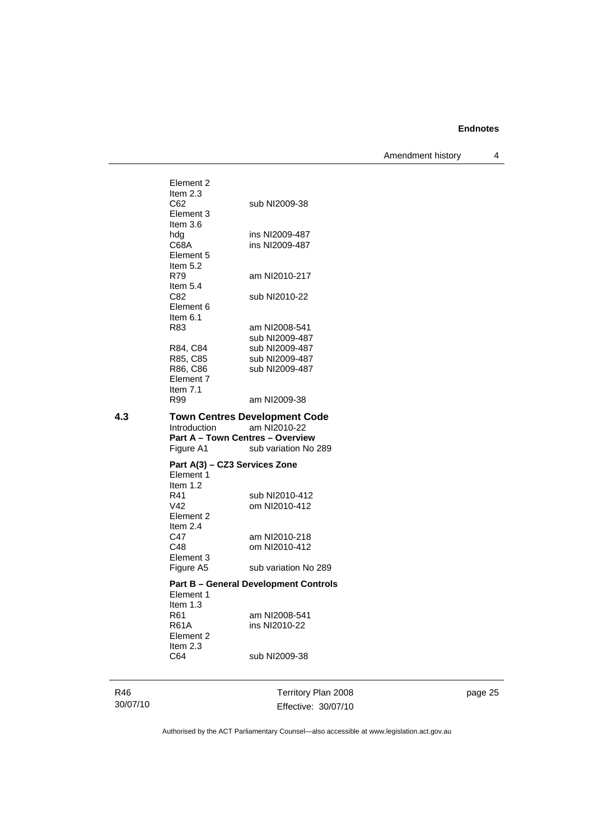Amendment history 4

R46 30/07/10 Territory Plan 2008 Element 2 Item 2.3<br>C62 sub NI2009-38 Element 3 Item 3.6 hdg ins NI2009-487<br>C68A ins NI2009-487 ins NI2009-487 Element 5 Item  $5.2$ <br>R79 am NI2010-217 Item 5.4 C82 sub NI2010-22 Element 6 Item 6.1<br>R83 am NI2008-541 sub NI2009-487<br>R84, C84 sub NI2009-487 R84, C84 sub NI2009-487<br>R85, C85 sub NI2009-487 sub NI2009-487 R86, C86 sub NI2009-487 Element 7 Item 7.1<br>R99 am NI2009-38 **4.3 Town Centres Development Code**  Introduction am NI2010-22 **Part A – Town Centres – Overview**  Figure A1 sub variation No 289 **Part A(3) – CZ3 Services Zone**  Element 1 Item 1.2<br>R41 R41 sub NI2010-412<br>V42 om NI2010-412 om NI2010-412 Element 2 Item 2.4 C47 am NI2010-218<br>C48 om NI2010-412 om NI2010-412 Element 3 Figure A5 sub variation No 289 **Part B – General Development Controls**  Element 1 Item 1.3<br>R61 R61 am NI2008-541<br>R61A ins NI2010-22 ins NI2010-22 Element 2 Item 2.3<br>C64 sub NI2009-38

page 25

Authorised by the ACT Parliamentary Counsel—also accessible at www.legislation.act.gov.au

Effective: 30/07/10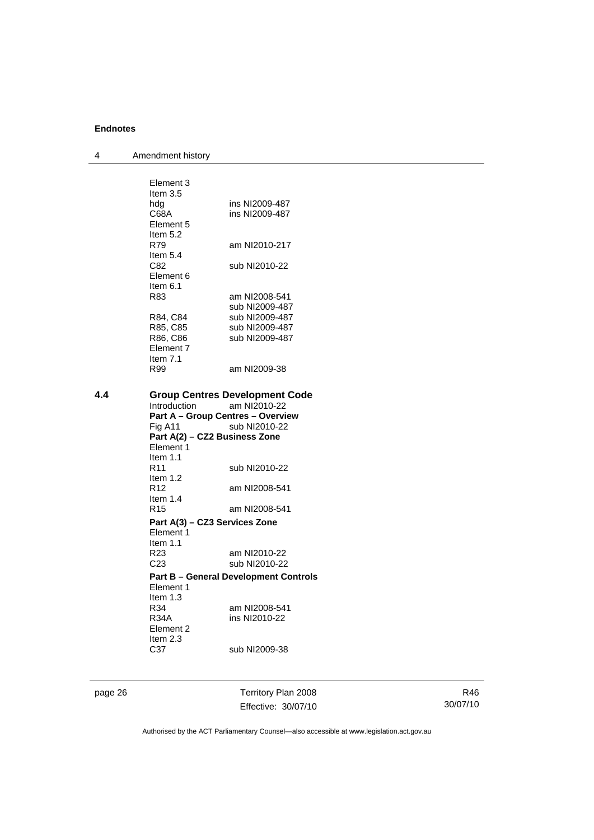4 Amendment history

|     | Element 3                         |                                                       |  |  |  |
|-----|-----------------------------------|-------------------------------------------------------|--|--|--|
|     | Item $3.5$                        |                                                       |  |  |  |
|     | hdg                               | ins NI2009-487                                        |  |  |  |
|     | C68A                              | ins NI2009-487                                        |  |  |  |
|     | Element 5                         |                                                       |  |  |  |
|     | Item 5.2                          |                                                       |  |  |  |
|     | R79                               | am NI2010-217                                         |  |  |  |
|     | Item 5.4                          |                                                       |  |  |  |
|     | C82                               | sub NI2010-22                                         |  |  |  |
|     | Element 6                         |                                                       |  |  |  |
|     | Item 6.1                          |                                                       |  |  |  |
|     | R83                               | am NI2008-541                                         |  |  |  |
|     |                                   | sub NI2009-487                                        |  |  |  |
|     | R84, C84                          | sub NI2009-487                                        |  |  |  |
|     | R85, C85                          | sub NI2009-487                                        |  |  |  |
|     | R86, C86                          | sub NI2009-487                                        |  |  |  |
|     | Element 7                         |                                                       |  |  |  |
|     | Item $7.1$                        |                                                       |  |  |  |
|     | R99                               | am NI2009-38                                          |  |  |  |
| 4.4 |                                   |                                                       |  |  |  |
|     | Introduction                      | <b>Group Centres Development Code</b><br>am NI2010-22 |  |  |  |
|     | Part A - Group Centres - Overview |                                                       |  |  |  |
|     | Fig A11                           | sub NI2010-22                                         |  |  |  |
|     |                                   |                                                       |  |  |  |
|     |                                   |                                                       |  |  |  |
|     | Element 1                         | Part A(2) - CZ2 Business Zone                         |  |  |  |
|     | Item $1.1$                        |                                                       |  |  |  |
|     | R11                               | sub NI2010-22                                         |  |  |  |
|     | Item $1.2$                        |                                                       |  |  |  |
|     | R <sub>12</sub>                   | am NI2008-541                                         |  |  |  |
|     | Item $1.4$                        |                                                       |  |  |  |
|     | R <sub>15</sub>                   | am NI2008-541                                         |  |  |  |
|     |                                   |                                                       |  |  |  |
|     | Element 1                         | Part A(3) - CZ3 Services Zone                         |  |  |  |
|     | Item $1.1$                        |                                                       |  |  |  |
|     | R23                               | am NI2010-22                                          |  |  |  |
|     | C23                               | sub NI2010-22                                         |  |  |  |
|     |                                   |                                                       |  |  |  |
|     | Element 1                         | <b>Part B - General Development Controls</b>          |  |  |  |
|     | Item $1.3$                        |                                                       |  |  |  |
|     | R34                               | am NI2008-541                                         |  |  |  |
|     | R34A                              | ins NI2010-22                                         |  |  |  |
|     | Element 2                         |                                                       |  |  |  |
|     | Item $2.3$                        |                                                       |  |  |  |
|     | C37                               | sub NI2009-38                                         |  |  |  |

page 26 Territory Plan 2008 Effective: 30/07/10

R46 30/07/10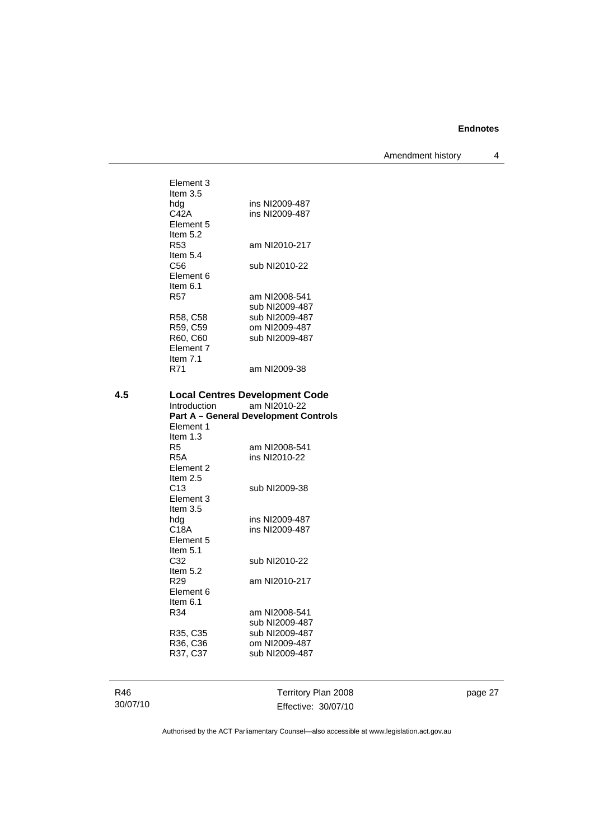Amendment history 4

R46 30/07/10 Territory Plan 2008 Effective: 30/07/10 Element 3 Item 3.5 hdg ins NI2009-487<br>C42A ins NI2009-487 ins NI2009-487 Element 5 Item 5.2<br>R53 am NI2010-217 Item 5.4 C56 sub NI2010-22 Element 6 Item 6.1 R57 am NI2008-541 sub NI2009-487<br>R58. C58 sub NI2009-487 sub NI2009-487 R59, C59 om NI2009-487 sub NI2009-487 Element 7 Item 7.1 R71 am NI2009-38 **4.5 Local Centres Development Code**  Introduction am NI2010-22 **Part A – General Development Controls**  Element 1 Item 1.3<br>R5 R5 am NI2008-541<br>R5A ins NI2010-22 ins NI2010-22 Element 2 Item  $2.5$ <br>C<sub>13</sub> sub NI2009-38 Element 3 Item 3.5<br>hdg hdg ins NI2009-487<br>C18A ins NI2009-487 ins NI2009-487 Element 5 Item 5.1<br>C32 sub NI2010-22 Item 5.2 R29 am NI2010-217 Element 6 Item 6.1 R34 am NI2008-541 sub NI2009-487<br>R35, C35 sub NI2009-487 sub NI2009-487 R36, C36 om NI2009-487<br>R37, C37 sub NI2009-487 sub NI2009-487

page 27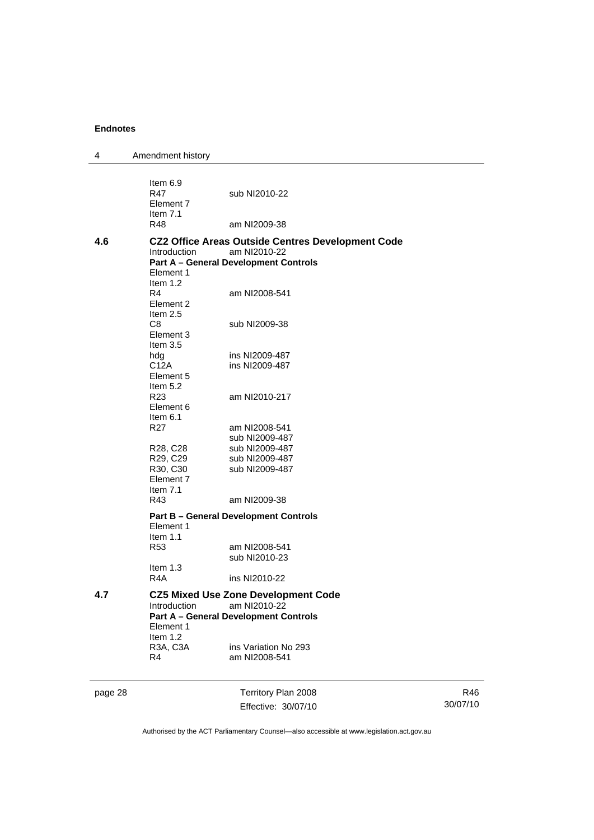| 4       | Amendment history                                 |                                                                                                                          |                 |
|---------|---------------------------------------------------|--------------------------------------------------------------------------------------------------------------------------|-----------------|
|         | Item 6.9<br>R47<br>Element 7<br>Item $7.1$<br>R48 | sub NI2010-22<br>am NI2009-38                                                                                            |                 |
| 4.6     | Introduction<br>Element 1<br>Item $1.2$           | <b>CZ2 Office Areas Outside Centres Development Code</b><br>am NI2010-22<br><b>Part A - General Development Controls</b> |                 |
|         | R4<br>Element 2<br>Item 2.5                       | am NI2008-541                                                                                                            |                 |
|         | C8<br>Element 3<br>Item $3.5$                     | sub NI2009-38                                                                                                            |                 |
|         | hdg<br>C12A<br>Element 5                          | ins NI2009-487<br>ins NI2009-487                                                                                         |                 |
|         | Item 5.2<br>R <sub>23</sub><br>Element 6          | am NI2010-217                                                                                                            |                 |
|         | Item $6.1$<br>R <sub>27</sub>                     | am NI2008-541<br>sub NI2009-487                                                                                          |                 |
|         | R28, C28<br>R29, C29<br>R30, C30<br>Element 7     | sub NI2009-487<br>sub NI2009-487<br>sub NI2009-487                                                                       |                 |
|         | Item $7.1$<br>R43                                 | am NI2009-38                                                                                                             |                 |
|         | Element 1<br>Item $1.1$                           | <b>Part B - General Development Controls</b>                                                                             |                 |
|         | R <sub>53</sub><br>Item 1.3                       | am NI2008-541<br>sub NI2010-23                                                                                           |                 |
|         | R4A                                               | ins NI2010-22                                                                                                            |                 |
| 4.7     | Introduction<br>Element 1                         | <b>CZ5 Mixed Use Zone Development Code</b><br>am NI2010-22<br><b>Part A - General Development Controls</b>               |                 |
|         | Item $1.2$<br>R3A, C3A<br>R4                      | ins Variation No 293<br>am NI2008-541                                                                                    |                 |
| page 28 |                                                   | Territory Plan 2008<br>Effective: 30/07/10                                                                               | R46<br>30/07/10 |

Authorised by the ACT Parliamentary Counsel—also accessible at www.legislation.act.gov.au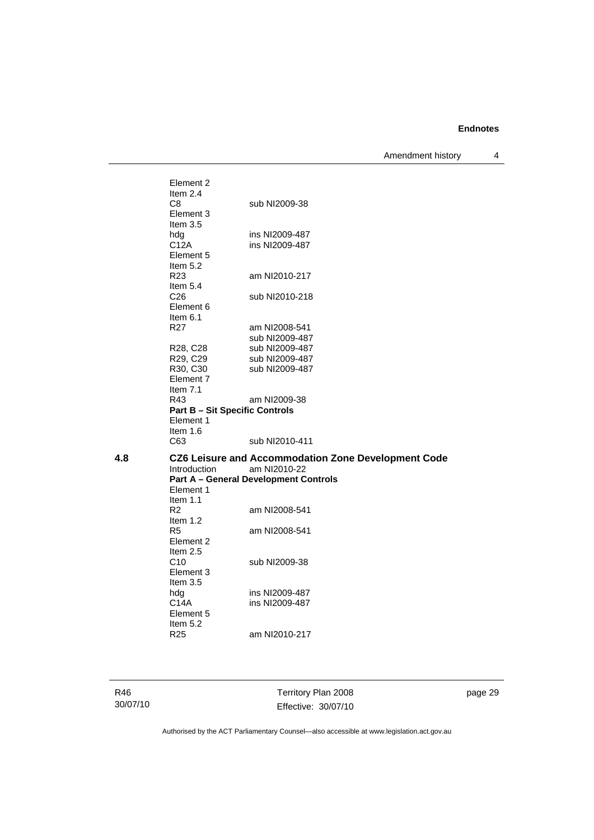Amendment history 4

Element 2 Item 2.4<br>C8 sub NI2009-38 Element 3 Item 3.5 hdg ins NI2009-487<br>C12A ins NI2009-487 ins NI2009-487 Element 5 Item  $5.2$ <br>R23 am NI2010-217 Item 5.4 C26 sub NI2010-218 Element 6 Item 6.1 R27 am NI2008-541 sub NI2009-487<br>R28, C28 sub NI2009-487 R28, C28 sub NI2009-487<br>R29, C29 sub NI2009-487 sub NI2009-487 R30, C30 sub NI2009-487 Element 7 Item 7.1 R43 am NI2009-38 **Part B – Sit Specific Controls**  Element 1 Item 1.6<br>C63 sub NI2010-411 **4.8 CZ6 Leisure and Accommodation Zone Development Code**  am NI2010-22 **Part A – General Development Controls**  Element 1 Item 1.1<br>R<sub>2</sub> am NI2008-541 Item 1.2<br>R5 am NI2008-541 Element 2 Item  $2.5$ <br>C<sub>10</sub> sub NI2009-38 Element 3 Item 3.5 hdg ins NI2009-487<br>C14A ins NI2009-487 ins NI2009-487 Element 5 Item  $5.2$ <br>R25 am NI2010-217

R46 30/07/10 Territory Plan 2008 Effective: 30/07/10 page 29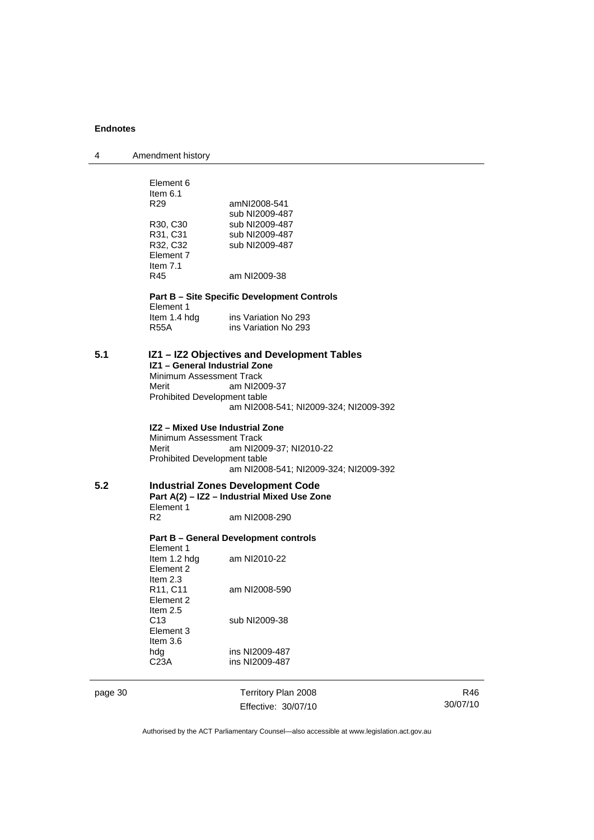| 4       | Amendment history                                                                                    |                                                                                                      |                 |
|---------|------------------------------------------------------------------------------------------------------|------------------------------------------------------------------------------------------------------|-----------------|
|         | Element 6<br>Item $6.1$<br>R29<br>R30, C30<br>R31, C31<br>R32, C32<br>Element 7<br>Item $7.1$<br>R45 | amNI2008-541<br>sub NI2009-487<br>sub NI2009-487<br>sub NI2009-487<br>sub NI2009-487<br>am NI2009-38 |                 |
|         |                                                                                                      | <b>Part B - Site Specific Development Controls</b>                                                   |                 |
|         | Element 1<br>Item 1.4 hdg<br>R55A                                                                    | ins Variation No 293<br>ins Variation No 293                                                         |                 |
| 5.1     | IZ1 - General Industrial Zone<br>Minimum Assessment Track<br>Merit<br>Prohibited Development table   | IZ1 - IZ2 Objectives and Development Tables<br>am NI2009-37<br>am NI2008-541; NI2009-324; NI2009-392 |                 |
|         | IZ2 - Mixed Use Industrial Zone                                                                      |                                                                                                      |                 |
|         | Minimum Assessment Track<br>Merit<br>Prohibited Development table                                    | am NI2009-37; NI2010-22<br>am NI2008-541; NI2009-324; NI2009-392                                     |                 |
| 5.2     | Element 1                                                                                            | <b>Industrial Zones Development Code</b><br>Part A(2) - IZ2 - Industrial Mixed Use Zone              |                 |
|         | R2                                                                                                   | am NI2008-290                                                                                        |                 |
|         | Element 1                                                                                            | <b>Part B - General Development controls</b>                                                         |                 |
|         | Item 1.2 hdg<br>Element 2<br>Item 2.3                                                                | am NI2010-22                                                                                         |                 |
|         | R11, C11<br>Element 2<br>Item $2.5$                                                                  | am NI2008-590                                                                                        |                 |
|         | C13<br>Element 3<br>Item 3.6                                                                         | sub NI2009-38                                                                                        |                 |
|         | hdg<br>C23A                                                                                          | ins NI2009-487<br>ins NI2009-487                                                                     |                 |
| page 30 |                                                                                                      | Territory Plan 2008<br>Effective: 30/07/10                                                           | R46<br>30/07/10 |

Authorised by the ACT Parliamentary Counsel—also accessible at www.legislation.act.gov.au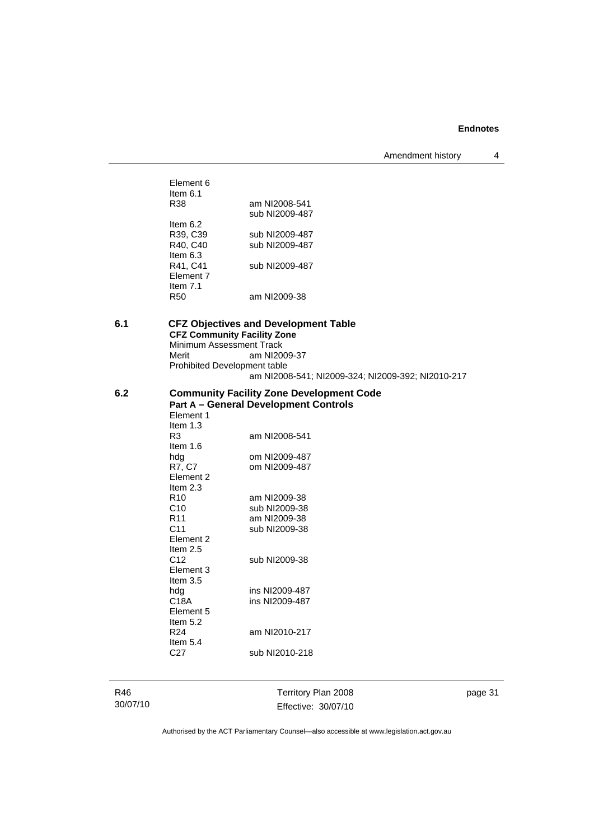Amendment history 4

|     | Element 6                          |                                                   |
|-----|------------------------------------|---------------------------------------------------|
|     | Item 6.1<br>R38                    | am NI2008-541                                     |
|     |                                    | sub NI2009-487                                    |
|     | Item $6.2$                         |                                                   |
|     | R39, C39                           | sub NI2009-487                                    |
|     | R40, C40                           | sub NI2009-487                                    |
|     | Item $6.3$                         |                                                   |
|     | R41, C41                           | sub NI2009-487                                    |
|     | Element 7                          |                                                   |
|     | Item $7.1$<br><b>R50</b>           | am NI2009-38                                      |
|     |                                    |                                                   |
| 6.1 |                                    | <b>CFZ Objectives and Development Table</b>       |
|     | <b>CFZ Community Facility Zone</b> |                                                   |
|     | Minimum Assessment Track           |                                                   |
|     | Merit                              | am NI2009-37                                      |
|     | Prohibited Development table       |                                                   |
|     |                                    | am NI2008-541; NI2009-324; NI2009-392; NI2010-217 |
| 6.2 |                                    | <b>Community Facility Zone Development Code</b>   |
|     |                                    | <b>Part A - General Development Controls</b>      |
|     | Element 1                          |                                                   |
|     | Item $1.3$<br>R <sub>3</sub>       |                                                   |
|     | Item $1.6$                         | am NI2008-541                                     |
|     | hdg                                | om NI2009-487                                     |
|     | R7, C7                             | om NI2009-487                                     |
|     | Element 2                          |                                                   |
|     | Item $2.3$                         |                                                   |
|     | R <sub>10</sub>                    | am NI2009-38                                      |
|     | C <sub>10</sub>                    | sub NI2009-38                                     |
|     | R <sub>11</sub><br>C <sub>11</sub> | am NI2009-38                                      |
|     | Element 2                          | sub NI2009-38                                     |
|     | Item $2.5$                         |                                                   |
|     | C <sub>12</sub>                    | sub NI2009-38                                     |
|     | Element 3                          |                                                   |
|     | Item $3.5$                         |                                                   |
|     | hdg                                | ins NI2009-487                                    |
|     | C18A                               | ins NI2009-487                                    |
|     | Element 5<br>Item 5.2              |                                                   |
|     | R <sub>24</sub>                    | am NI2010-217                                     |
|     | Item 5.4                           |                                                   |
|     | C <sub>27</sub>                    | sub NI2010-218                                    |
|     |                                    |                                                   |
|     |                                    |                                                   |
|     |                                    |                                                   |

R46 30/07/10

 $\sim$ 

Territory Plan 2008 Effective: 30/07/10 page 31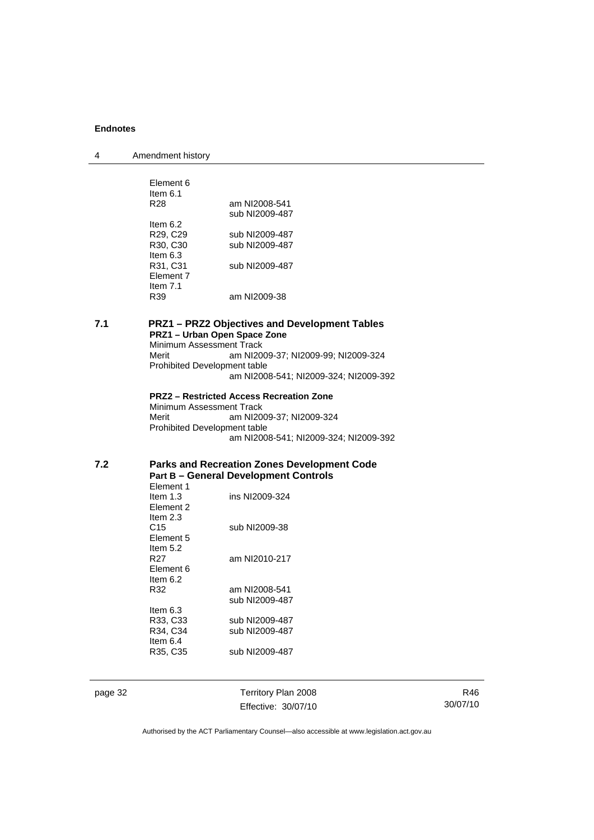| 4   | Amendment history                                                                                                                                                                                     |                                                                                                                                                                                                                                                 |
|-----|-------------------------------------------------------------------------------------------------------------------------------------------------------------------------------------------------------|-------------------------------------------------------------------------------------------------------------------------------------------------------------------------------------------------------------------------------------------------|
|     | Element 6<br>Item $6.1$<br>R28<br>Item $6.2$<br>R29, C29<br>R30, C30<br>Item $6.3$<br>R31, C31<br>Element 7<br>Item $7.1$<br>R39                                                                      | am NI2008-541<br>sub NI2009-487<br>sub NI2009-487<br>sub NI2009-487<br>sub NI2009-487<br>am NI2009-38                                                                                                                                           |
| 7.1 | PRZ1 - Urban Open Space Zone<br>Minimum Assessment Track<br>Merit<br>Prohibited Development table                                                                                                     | <b>PRZ1-PRZ2 Objectives and Development Tables</b><br>am NI2009-37; NI2009-99; NI2009-324<br>am NI2008-541; NI2009-324; NI2009-392                                                                                                              |
|     | Minimum Assessment Track<br>Merit<br>Prohibited Development table                                                                                                                                     | <b>PRZ2 - Restricted Access Recreation Zone</b><br>am NI2009-37; NI2009-324<br>am NI2008-541; NI2009-324; NI2009-392                                                                                                                            |
| 7.2 | Element 1<br>Item $1.3$<br>Element 2<br>Item $2.3$<br>C15<br>Element 5<br>Item 5.2<br>R <sub>27</sub><br>Element 6<br>Item $6.2$<br>R32<br>Item $6.3$<br>R33, C33<br>R34, C34<br>Item 6.4<br>R35, C35 | <b>Parks and Recreation Zones Development Code</b><br><b>Part B - General Development Controls</b><br>ins NI2009-324<br>sub NI2009-38<br>am NI2010-217<br>am NI2008-541<br>sub NI2009-487<br>sub NI2009-487<br>sub NI2009-487<br>sub NI2009-487 |

page 32 Territory Plan 2008 Effective: 30/07/10

R46 30/07/10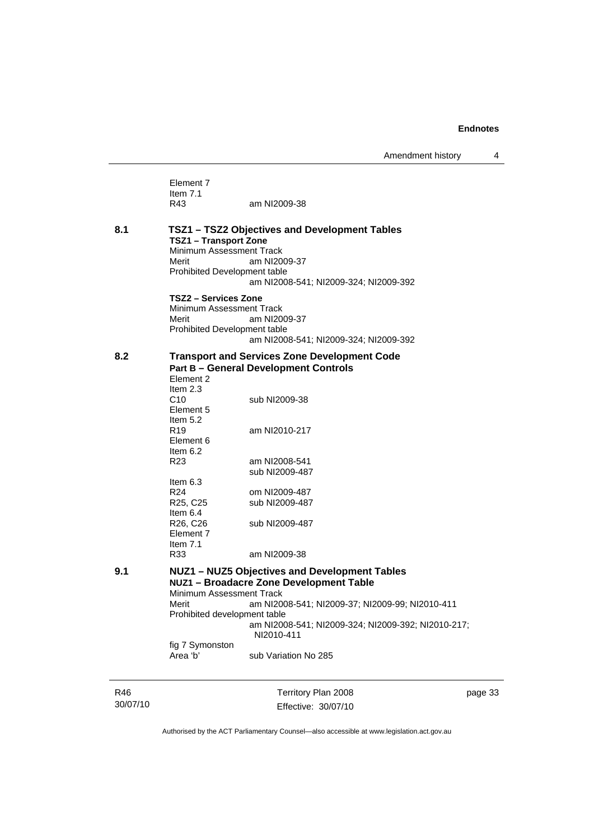Amendment history 4

|                                              | Amendment nistory                                                                                                                                              | 4                                                                                                                                                                                                                                                                                                                                                                                                                                                                                                                                                                                                                                                                                                                                  |  |  |
|----------------------------------------------|----------------------------------------------------------------------------------------------------------------------------------------------------------------|------------------------------------------------------------------------------------------------------------------------------------------------------------------------------------------------------------------------------------------------------------------------------------------------------------------------------------------------------------------------------------------------------------------------------------------------------------------------------------------------------------------------------------------------------------------------------------------------------------------------------------------------------------------------------------------------------------------------------------|--|--|
| Element 7<br>Item $7.1$<br>R43               | am NI2009-38                                                                                                                                                   |                                                                                                                                                                                                                                                                                                                                                                                                                                                                                                                                                                                                                                                                                                                                    |  |  |
|                                              |                                                                                                                                                                |                                                                                                                                                                                                                                                                                                                                                                                                                                                                                                                                                                                                                                                                                                                                    |  |  |
|                                              |                                                                                                                                                                |                                                                                                                                                                                                                                                                                                                                                                                                                                                                                                                                                                                                                                                                                                                                    |  |  |
|                                              |                                                                                                                                                                |                                                                                                                                                                                                                                                                                                                                                                                                                                                                                                                                                                                                                                                                                                                                    |  |  |
| Merit                                        | am NI2009-37                                                                                                                                                   |                                                                                                                                                                                                                                                                                                                                                                                                                                                                                                                                                                                                                                                                                                                                    |  |  |
|                                              |                                                                                                                                                                |                                                                                                                                                                                                                                                                                                                                                                                                                                                                                                                                                                                                                                                                                                                                    |  |  |
|                                              |                                                                                                                                                                |                                                                                                                                                                                                                                                                                                                                                                                                                                                                                                                                                                                                                                                                                                                                    |  |  |
|                                              |                                                                                                                                                                |                                                                                                                                                                                                                                                                                                                                                                                                                                                                                                                                                                                                                                                                                                                                    |  |  |
| Merit                                        | am NI2009-37                                                                                                                                                   |                                                                                                                                                                                                                                                                                                                                                                                                                                                                                                                                                                                                                                                                                                                                    |  |  |
|                                              |                                                                                                                                                                |                                                                                                                                                                                                                                                                                                                                                                                                                                                                                                                                                                                                                                                                                                                                    |  |  |
|                                              |                                                                                                                                                                |                                                                                                                                                                                                                                                                                                                                                                                                                                                                                                                                                                                                                                                                                                                                    |  |  |
|                                              |                                                                                                                                                                |                                                                                                                                                                                                                                                                                                                                                                                                                                                                                                                                                                                                                                                                                                                                    |  |  |
| <b>Part B - General Development Controls</b> |                                                                                                                                                                |                                                                                                                                                                                                                                                                                                                                                                                                                                                                                                                                                                                                                                                                                                                                    |  |  |
|                                              |                                                                                                                                                                |                                                                                                                                                                                                                                                                                                                                                                                                                                                                                                                                                                                                                                                                                                                                    |  |  |
| C10                                          | sub NI2009-38                                                                                                                                                  |                                                                                                                                                                                                                                                                                                                                                                                                                                                                                                                                                                                                                                                                                                                                    |  |  |
|                                              |                                                                                                                                                                |                                                                                                                                                                                                                                                                                                                                                                                                                                                                                                                                                                                                                                                                                                                                    |  |  |
|                                              |                                                                                                                                                                |                                                                                                                                                                                                                                                                                                                                                                                                                                                                                                                                                                                                                                                                                                                                    |  |  |
| Element 6                                    |                                                                                                                                                                |                                                                                                                                                                                                                                                                                                                                                                                                                                                                                                                                                                                                                                                                                                                                    |  |  |
| Item $6.2$                                   |                                                                                                                                                                |                                                                                                                                                                                                                                                                                                                                                                                                                                                                                                                                                                                                                                                                                                                                    |  |  |
|                                              |                                                                                                                                                                |                                                                                                                                                                                                                                                                                                                                                                                                                                                                                                                                                                                                                                                                                                                                    |  |  |
| Item $6.3$                                   |                                                                                                                                                                |                                                                                                                                                                                                                                                                                                                                                                                                                                                                                                                                                                                                                                                                                                                                    |  |  |
| R <sub>24</sub>                              | om NI2009-487                                                                                                                                                  |                                                                                                                                                                                                                                                                                                                                                                                                                                                                                                                                                                                                                                                                                                                                    |  |  |
|                                              |                                                                                                                                                                |                                                                                                                                                                                                                                                                                                                                                                                                                                                                                                                                                                                                                                                                                                                                    |  |  |
| R <sub>26</sub> , C <sub>26</sub>            | sub NI2009-487                                                                                                                                                 |                                                                                                                                                                                                                                                                                                                                                                                                                                                                                                                                                                                                                                                                                                                                    |  |  |
| Element 7                                    |                                                                                                                                                                |                                                                                                                                                                                                                                                                                                                                                                                                                                                                                                                                                                                                                                                                                                                                    |  |  |
|                                              |                                                                                                                                                                |                                                                                                                                                                                                                                                                                                                                                                                                                                                                                                                                                                                                                                                                                                                                    |  |  |
|                                              |                                                                                                                                                                |                                                                                                                                                                                                                                                                                                                                                                                                                                                                                                                                                                                                                                                                                                                                    |  |  |
|                                              |                                                                                                                                                                |                                                                                                                                                                                                                                                                                                                                                                                                                                                                                                                                                                                                                                                                                                                                    |  |  |
|                                              |                                                                                                                                                                |                                                                                                                                                                                                                                                                                                                                                                                                                                                                                                                                                                                                                                                                                                                                    |  |  |
| Merit                                        | am NI2008-541; NI2009-37; NI2009-99; NI2010-411                                                                                                                |                                                                                                                                                                                                                                                                                                                                                                                                                                                                                                                                                                                                                                                                                                                                    |  |  |
|                                              |                                                                                                                                                                |                                                                                                                                                                                                                                                                                                                                                                                                                                                                                                                                                                                                                                                                                                                                    |  |  |
|                                              |                                                                                                                                                                |                                                                                                                                                                                                                                                                                                                                                                                                                                                                                                                                                                                                                                                                                                                                    |  |  |
|                                              |                                                                                                                                                                |                                                                                                                                                                                                                                                                                                                                                                                                                                                                                                                                                                                                                                                                                                                                    |  |  |
| Area 'b'                                     | sub Variation No 285                                                                                                                                           |                                                                                                                                                                                                                                                                                                                                                                                                                                                                                                                                                                                                                                                                                                                                    |  |  |
|                                              |                                                                                                                                                                | page 33                                                                                                                                                                                                                                                                                                                                                                                                                                                                                                                                                                                                                                                                                                                            |  |  |
|                                              | Effective: 30/07/10                                                                                                                                            |                                                                                                                                                                                                                                                                                                                                                                                                                                                                                                                                                                                                                                                                                                                                    |  |  |
|                                              | Element 2<br>Item 2.3<br>Element 5<br>Item $5.2$<br>R <sub>19</sub><br>R <sub>23</sub><br>R <sub>25</sub> , C <sub>25</sub><br>Item $6.4$<br>Item $7.1$<br>R33 | TSZ1 - TSZ2 Objectives and Development Tables<br><b>TSZ1 - Transport Zone</b><br>Minimum Assessment Track<br>Prohibited Development table<br>am NI2008-541; NI2009-324; NI2009-392<br>TSZ2 – Services Zone<br>Minimum Assessment Track<br>Prohibited Development table<br>am NI2008-541; NI2009-324; NI2009-392<br><b>Transport and Services Zone Development Code</b><br>am NI2010-217<br>am NI2008-541<br>sub NI2009-487<br>sub NI2009-487<br>am NI2009-38<br>NUZ1 - NUZ5 Objectives and Development Tables<br>NUZ1 - Broadacre Zone Development Table<br>Minimum Assessment Track<br>Prohibited development table<br>am NI2008-541; NI2009-324; NI2009-392; NI2010-217;<br>NI2010-411<br>fig 7 Symonston<br>Territory Plan 2008 |  |  |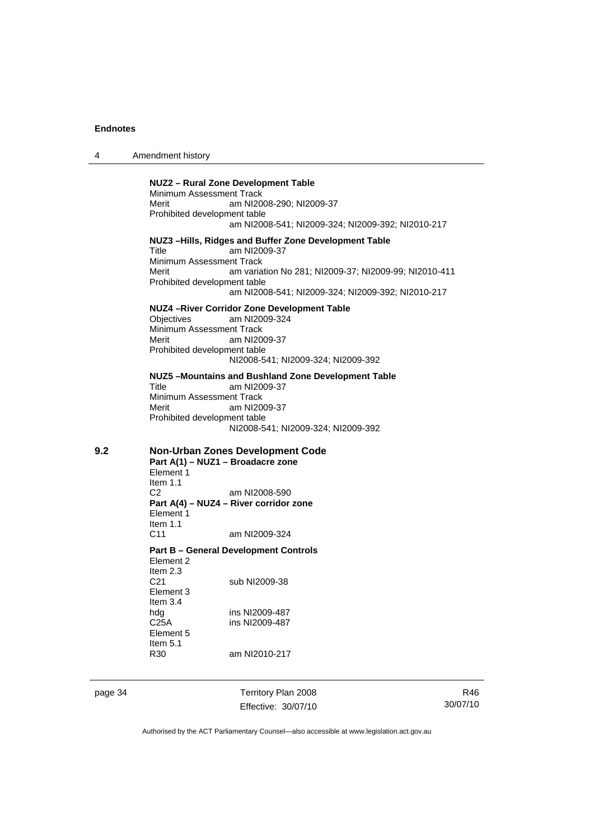4 Amendment history

#### **NUZ2 – Rural Zone Development Table**

Minimum Assessment Track Merit am NI2008-290; NI2009-37 Prohibited development table am NI2008-541; NI2009-324; NI2009-392; NI2010-217

#### **NUZ3 –Hills, Ridges and Buffer Zone Development Table**

Title am NI2009-37 Minimum Assessment Track Merit am variation No 281; NI2009-37; NI2009-99; NI2010-411 Prohibited development table am NI2008-541; NI2009-324; NI2009-392; NI2010-217

#### **NUZ4 –River Corridor Zone Development Table**

Objectives am NI2009-324 Minimum Assessment Track Merit am NI2009-37 Prohibited development table NI2008-541; NI2009-324; NI2009-392

#### **NUZ5 –Mountains and Bushland Zone Development Table**  am NI2009-37

Minimum Assessment Track Merit am NI2009-37 Prohibited development table NI2008-541; NI2009-324; NI2009-392

### **9.2 Non-Urban Zones Development Code**

**Part A(1) – NUZ1 – Broadacre zone**  Element 1 Item 1.1 C2 am NI2008-590 **Part A(4) – NUZ4 – River corridor zone**  Element 1 Item 1.1 C11 am NI2009-324

#### **Part B – General Development Controls**  Element 2 Item 2.3 C21 sub NI2009-38 Element 3 Item 3.4 hdg ins NI2009-487<br>C25A ins NI2009-487 ins NI2009-487

am NI2010-217

Element 5 Item  $5.1$ <br>R<sub>30</sub>

page 34 Territory Plan 2008 Effective: 30/07/10

R46 30/07/10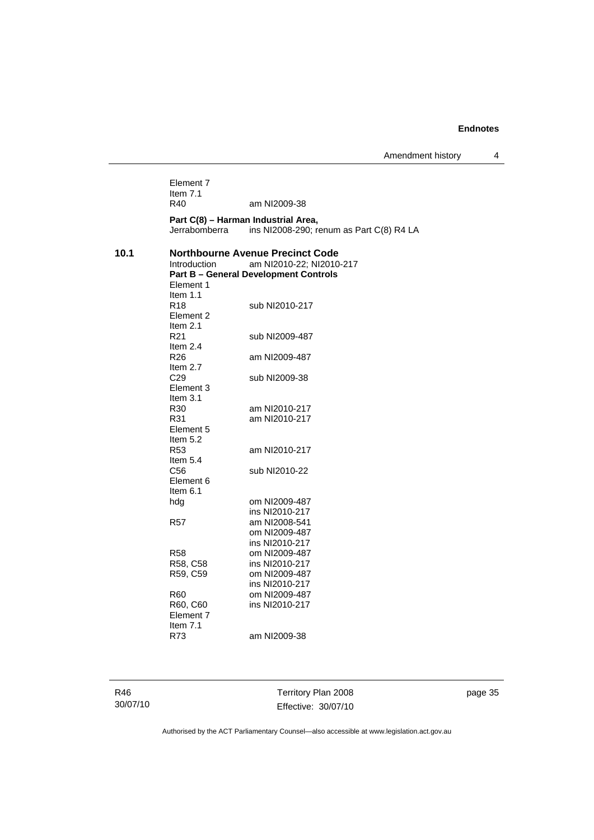|      | Element 7<br>Item $7.1$<br>R40 | am NI2009-38                                                                    |
|------|--------------------------------|---------------------------------------------------------------------------------|
|      | Jerrabomberra                  | Part C(8) - Harman Industrial Area,<br>ins NI2008-290; renum as Part C(8) R4 LA |
| 10.1 |                                | <b>Northbourne Avenue Precinct Code</b>                                         |
|      | <b>Introduction</b>            | am NI2010-22; NI2010-217                                                        |
|      |                                | <b>Part B - General Development Controls</b>                                    |
|      | Element 1                      |                                                                                 |
|      | Item $1.1$                     |                                                                                 |
|      | R <sub>18</sub>                | sub NI2010-217                                                                  |
|      | Element 2                      |                                                                                 |
|      | Item $2.1$                     |                                                                                 |
|      | R <sub>21</sub><br>Item $2.4$  | sub NI2009-487                                                                  |
|      | R <sub>26</sub>                | am NI2009-487                                                                   |
|      | Item $2.7$                     |                                                                                 |
|      | C <sub>29</sub>                | sub NI2009-38                                                                   |
|      | Element 3                      |                                                                                 |
|      | Item $3.1$                     |                                                                                 |
|      | R30                            | am NI2010-217                                                                   |
|      | R31                            | am NI2010-217                                                                   |
|      | Element 5                      |                                                                                 |
|      | Item $5.2$                     |                                                                                 |
|      | R <sub>53</sub>                | am NI2010-217                                                                   |
|      | Item 5.4                       |                                                                                 |
|      | C <sub>56</sub>                | sub NI2010-22                                                                   |
|      | Element 6                      |                                                                                 |
|      | Item $6.1$                     |                                                                                 |
|      | hdg                            | om NI2009-487                                                                   |
|      |                                | ins NI2010-217                                                                  |
|      | <b>R57</b>                     | am NI2008-541                                                                   |
|      |                                | om NI2009-487                                                                   |
|      | R58                            | ins NI2010-217<br>om NI2009-487                                                 |
|      | R58, C58                       | ins NI2010-217                                                                  |
|      | R59, C59                       | om NI2009-487                                                                   |
|      |                                | ins NI2010-217                                                                  |
|      | R60                            | om NI2009-487                                                                   |
|      | R60, C60                       | ins NI2010-217                                                                  |
|      | Element 7                      |                                                                                 |
|      | Item $7.1$                     |                                                                                 |
|      | R73                            | am NI2009-38                                                                    |
|      |                                |                                                                                 |
|      |                                |                                                                                 |

R46 30/07/10

Territory Plan 2008 Effective: 30/07/10 page 35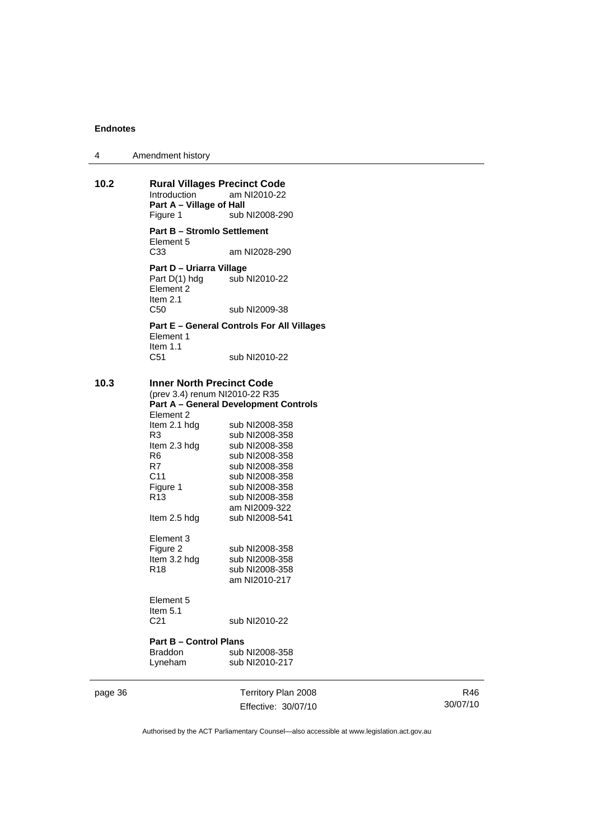4 Amendment history

| 10.2 <sub>1</sub> | Introduction<br>Part A - Village of Hall<br>Figure 1                                                  | <b>Rural Villages Precinct Code</b><br>am NI2010-22<br>sub NI2008-290                                                     |
|-------------------|-------------------------------------------------------------------------------------------------------|---------------------------------------------------------------------------------------------------------------------------|
|                   | <b>Part B - Stromlo Settlement</b>                                                                    |                                                                                                                           |
|                   | Element 5<br>C <sub>33</sub>                                                                          | am NI2028-290                                                                                                             |
|                   | Part D - Uriarra Village<br>Part D(1) hdg<br>Element 2<br>Item $2.1$                                  | sub NI2010-22                                                                                                             |
|                   | C50                                                                                                   | sub NI2009-38                                                                                                             |
|                   | Element 1<br>Item $1.1$                                                                               | Part E – General Controls For All Villages                                                                                |
|                   | C51                                                                                                   | sub NI2010-22                                                                                                             |
| 10.3              | <b>Inner North Precinct Code</b><br>(prev 3.4) renum NI2010-22 R35<br>Element 2<br>Item 2.1 hdg<br>R3 | <b>Part A - General Development Controls</b><br>sub NI2008-358<br>sub NI2008-358                                          |
|                   | Item 2.3 hdg<br>R6<br>R7<br>C <sub>11</sub><br>Figure 1<br>R13                                        | sub NI2008-358<br>sub NI2008-358<br>sub NI2008-358<br>sub NI2008-358<br>sub NI2008-358<br>sub NI2008-358<br>am NI2009-322 |
|                   | Item 2.5 hdg                                                                                          | sub NI2008-541                                                                                                            |
|                   | Element 3<br>Figure 2<br>Item 3.2 hdg<br>R18                                                          | sub NI2008-358<br>sub NI2008-358<br>sub NI2008-358<br>am NI2010-217                                                       |
|                   | Element 5<br>Item 5.1<br>C21                                                                          | sub NI2010-22                                                                                                             |
|                   | <b>Part B - Control Plans</b><br><b>Braddon</b><br>Lyneham                                            | sub NI2008-358<br>sub NI2010-217                                                                                          |
| page 36           |                                                                                                       | Territory Plan 2008<br>Effective: 30/07/10                                                                                |

R46 30/07/10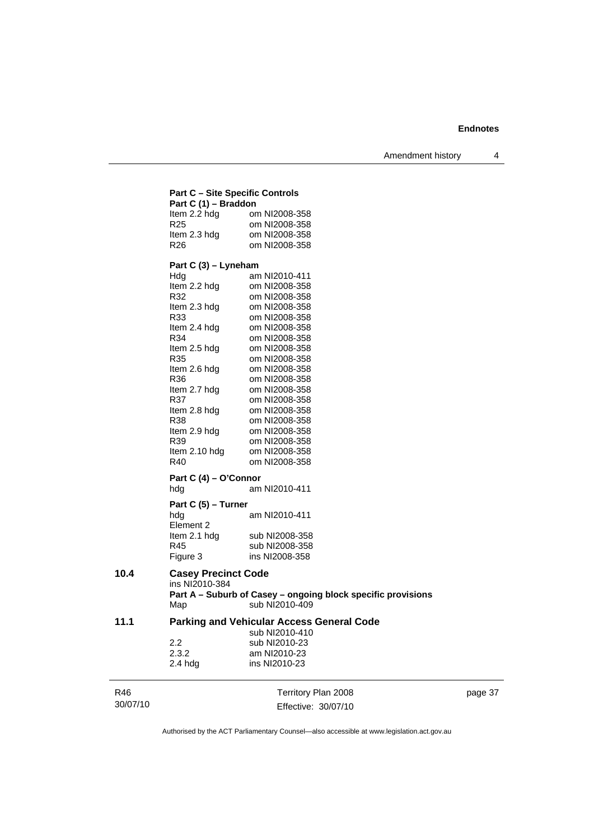page 37

#### R46 30/07/10 Territory Plan 2008 Effective: 30/07/10 **Part C – Site Specific Controls Part C (1) – Braddon**<br>Item 2.2 hdg or Item 2.2 hdg om NI2008-358<br>R25 om NI2008-358 om NI2008-358 Item 2.3 hdg om NI2008-358 R26 om NI2008-358 **Part C (3) – Lyneham**  Hdg am NI2010-411<br>Item 2.2 hdg om NI2008-358 om NI2008-358 R32 om NI2008-358<br>Item 2.3 hdg om NI2008-358 om NI2008-358 R33 om NI2008-358 Item 2.4 hdg om NI2008-358 R34 om NI2008-358<br>Item 2.5 hdg om NI2008-358 om NI2008-358 R35 om NI2008-358<br>Item 2.6 hdg om NI2008-358 om NI2008-358 R36 om NI2008-358<br>Item 2.7 hdg om NI2008-358 om NI2008-358 R37 om NI2008-358<br>Item 2.8 hdg om NI2008-358 Item 2.8 hdg om NI2008-358<br>R38 om NI2008-358 om NI2008-358 Item 2.9 hdg om NI2008-358 R39 om NI2008-358<br>Item 2.10 hdg om NI2008-358 om NI2008-358 R40 om NI2008-358 **Part C (4) – O'Connor**  hdg am NI2010-411 **Part C (5) – Turner**  hdg am NI2010-411 Element 2 Item 2.1 hdg sub NI2008-358 R45 sub NI2008-358 Figure 3 ins NI2008-358 **10.4 Casey Precinct Code**  ins NI2010-384 **Part A – Suburb of Casey – ongoing block specific provisions**  Map sub NI2010-409 **11.1 Parking and Vehicular Access General Code**  sub NI2010-410<br>2.2 sub NI2010-23 2.2 sub NI2010-23<br>2.3.2 am NI2010-23 am NI2010-23 2.4 hdg ins NI2010-23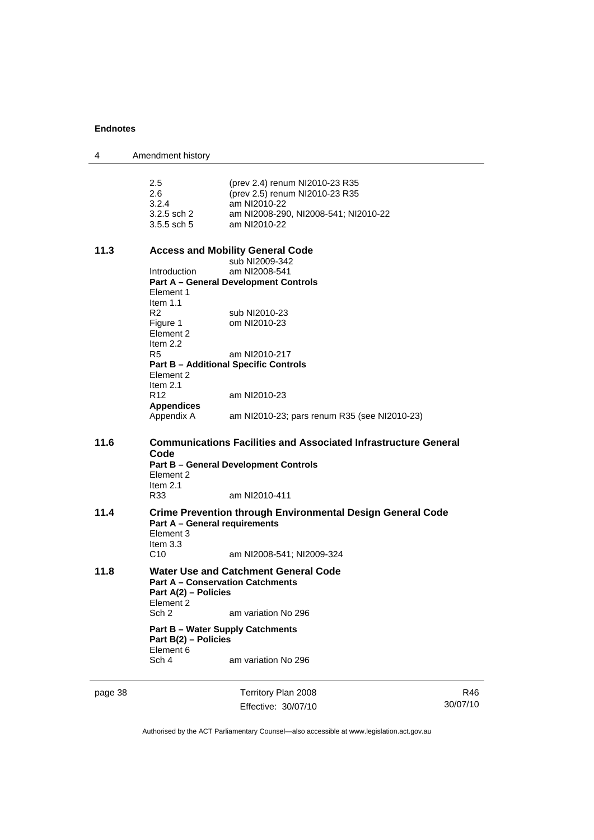| 4       | Amendment history                                   |                                                                                                                                          |          |
|---------|-----------------------------------------------------|------------------------------------------------------------------------------------------------------------------------------------------|----------|
|         | 2.5<br>2.6<br>3.2.4<br>3.2.5 sch 2<br>$3.5.5$ sch 5 | (prev 2.4) renum NI2010-23 R35<br>(prev 2.5) renum NI2010-23 R35<br>am NI2010-22<br>am NI2008-290, NI2008-541; NI2010-22<br>am NI2010-22 |          |
|         |                                                     |                                                                                                                                          |          |
| 11.3    |                                                     | <b>Access and Mobility General Code</b><br>sub NI2009-342                                                                                |          |
|         | Introduction<br>Element 1                           | am NI2008-541<br><b>Part A - General Development Controls</b>                                                                            |          |
|         | Item $1.1$<br>R2<br>Figure 1                        | sub NI2010-23<br>om NI2010-23                                                                                                            |          |
|         | Element 2<br>Item $2.2$<br>R5                       | am NI2010-217                                                                                                                            |          |
|         | Element 2<br>Item $2.1$                             | <b>Part B - Additional Specific Controls</b>                                                                                             |          |
|         | R <sub>12</sub><br><b>Appendices</b>                | am NI2010-23                                                                                                                             |          |
|         | Appendix A                                          | am NI2010-23; pars renum R35 (see NI2010-23)                                                                                             |          |
| 11.6    | Code<br>Element 2                                   | <b>Communications Facilities and Associated Infrastructure General</b><br><b>Part B - General Development Controls</b>                   |          |
|         | Item $2.1$<br>R33                                   | am NI2010-411                                                                                                                            |          |
| 11.4    | Element 3<br>Item $3.3$                             | <b>Crime Prevention through Environmental Design General Code</b><br><b>Part A - General requirements</b>                                |          |
|         | C <sub>10</sub>                                     | am NI2008-541; NI2009-324                                                                                                                |          |
| 11.8    | Part A(2) - Policies<br>Element 2                   | <b>Water Use and Catchment General Code</b><br><b>Part A - Conservation Catchments</b>                                                   |          |
|         | Sch 2                                               | am variation No 296                                                                                                                      |          |
|         | Part B(2) - Policies<br>Element 6                   | <b>Part B - Water Supply Catchments</b>                                                                                                  |          |
|         | Sch 4                                               | am variation No 296                                                                                                                      |          |
| page 38 |                                                     | Territory Plan 2008                                                                                                                      | R46      |
|         |                                                     | Effective: 30/07/10                                                                                                                      | 30/07/10 |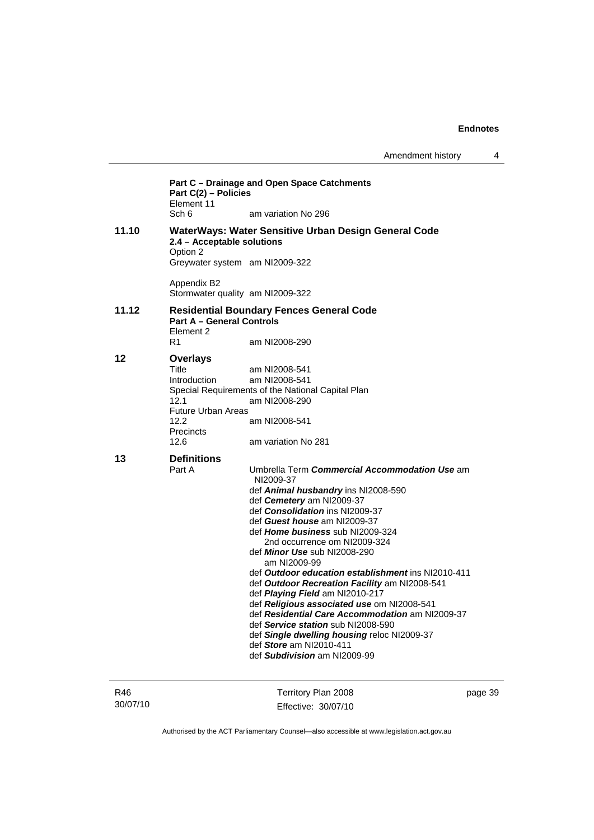Amendment history 4

R46 30/07/10 Territory Plan 2008 Effective: 30/07/10 page 39 **Part C – Drainage and Open Space Catchments Part C(2) – Policies**  Element 11<br>Sch 6 am variation No 296 **11.10 WaterWays: Water Sensitive Urban Design General Code 2.4 – Acceptable solutions**  Option 2 Greywater system am NI2009-322 Appendix B2 Stormwater quality am NI2009-322 **11.12 Residential Boundary Fences General Code Part A – General Controls**  Element 2 R1 am NI2008-290 **12 Overlays**  Title am NI2008-541 Introduction am NI2008-541 Special Requirements of the National Capital Plan 12.1 am NI2008-290 Future Urban Areas am NI2008-541 **Precincts** 12.6 am variation No 281 **13 Definitions**  Part A Umbrella Term *Commercial Accommodation Use* am NI2009-37 def *Animal husbandry* ins NI2008-590 def *Cemetery* am NI2009-37 def *Consolidation* ins NI2009-37 def *Guest house* am NI2009-37 def *Home business* sub NI2009-324 2nd occurrence om NI2009-324 def *Minor Use* sub NI2008-290 am NI2009-99 def *Outdoor education establishment* ins NI2010-411 def *Outdoor Recreation Facility* am NI2008-541 def *Playing Field* am NI2010-217 def *Religious associated use* om NI2008-541 def *Residential Care Accommodation* am NI2009-37 def *Service station* sub NI2008-590 def *Single dwelling housing* reloc NI2009-37 def *Store* am NI2010-411 def *Subdivision* am NI2009-99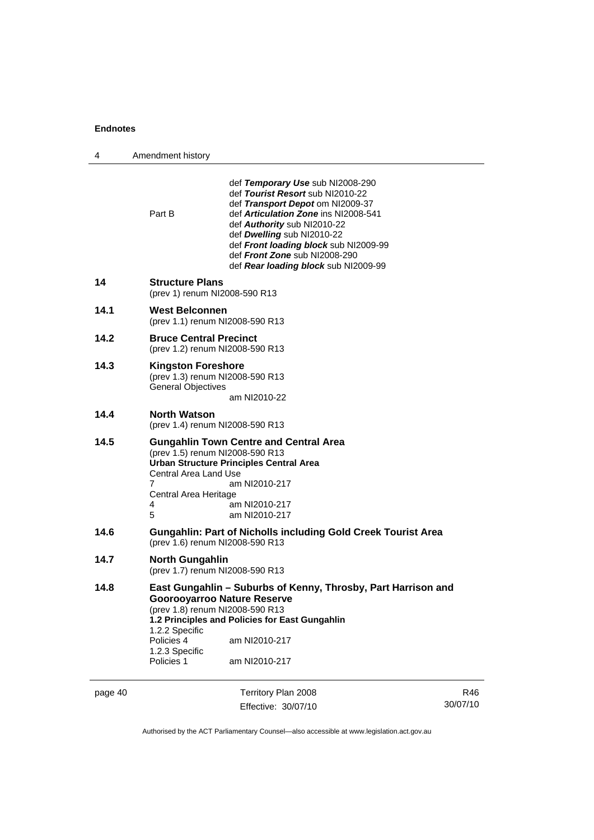| 4       | Amendment history                                                                                                                                                                                                                                                                                                                                       |     |  |
|---------|---------------------------------------------------------------------------------------------------------------------------------------------------------------------------------------------------------------------------------------------------------------------------------------------------------------------------------------------------------|-----|--|
|         | def Temporary Use sub NI2008-290<br>def Tourist Resort sub NI2010-22<br>def Transport Depot om NI2009-37<br>Part B<br>def <b>Articulation Zone</b> ins NI2008-541<br>def <b>Authority</b> sub NI2010-22<br>def Dwelling sub NI2010-22<br>def Front loading block sub NI2009-99<br>def Front Zone sub NI2008-290<br>def Rear loading block sub NI2009-99 |     |  |
| 14      | <b>Structure Plans</b><br>(prev 1) renum NI2008-590 R13                                                                                                                                                                                                                                                                                                 |     |  |
| 14.1    | West Belconnen<br>(prev 1.1) renum NI2008-590 R13                                                                                                                                                                                                                                                                                                       |     |  |
| 14.2    | <b>Bruce Central Precinct</b><br>(prev 1.2) renum NI2008-590 R13                                                                                                                                                                                                                                                                                        |     |  |
| 14.3    | <b>Kingston Foreshore</b><br>(prev 1.3) renum NI2008-590 R13<br><b>General Objectives</b><br>am NI2010-22                                                                                                                                                                                                                                               |     |  |
| 14.4    | North Watson<br>(prev 1.4) renum NI2008-590 R13                                                                                                                                                                                                                                                                                                         |     |  |
| 14.5    | <b>Gungahlin Town Centre and Central Area</b><br>(prev 1.5) renum NI2008-590 R13<br><b>Ürban Structure Principles Central Area</b><br>Central Area Land Use<br>7<br>am NI2010-217<br>Central Area Heritage<br>am NI2010-217<br>4<br>5<br>am NI2010-217                                                                                                  |     |  |
| 14.6    | <b>Gungahlin: Part of Nicholls including Gold Creek Tourist Area</b><br>(prev 1.6) renum NI2008-590 R13                                                                                                                                                                                                                                                 |     |  |
| 14.7    | <b>North Gungahlin</b><br>(prev 1.7) renum NI2008-590 R13                                                                                                                                                                                                                                                                                               |     |  |
| 14.8    | East Gungahlin - Suburbs of Kenny, Throsby, Part Harrison and<br><b>Goorooyarroo Nature Reserve</b><br>(prev 1.8) renum NI2008-590 R13<br>1.2 Principles and Policies for East Gungahlin<br>1.2.2 Specific<br>Policies 4<br>am NI2010-217<br>1.2.3 Specific<br>Policies 1<br>am NI2010-217                                                              |     |  |
| page 40 | Territory Plan 2008                                                                                                                                                                                                                                                                                                                                     | R46 |  |

Authorised by the ACT Parliamentary Counsel—also accessible at www.legislation.act.gov.au

30/07/10

Effective: 30/07/10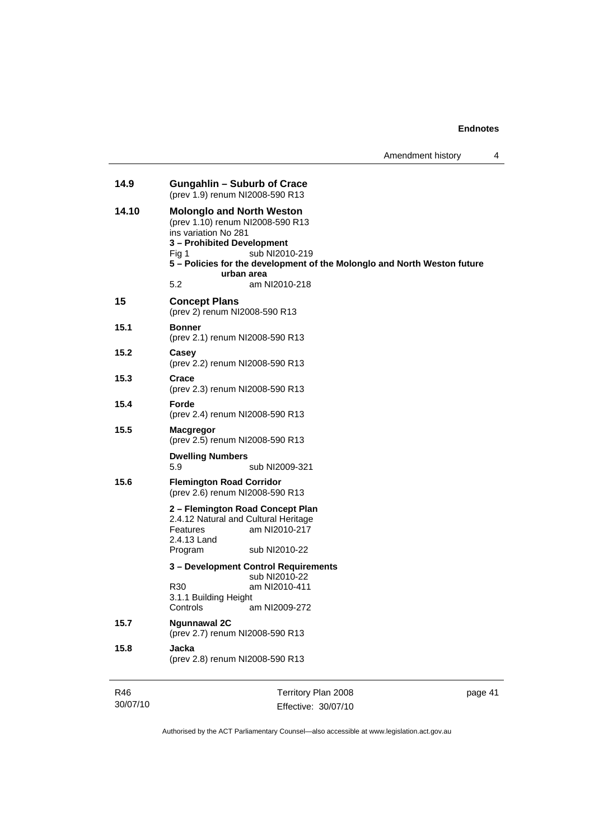| 14.9  | <b>Gungahlin - Suburb of Crace</b><br>(prev 1.9) renum NI2008-590 R13                                                                                                                                                                                                   |
|-------|-------------------------------------------------------------------------------------------------------------------------------------------------------------------------------------------------------------------------------------------------------------------------|
| 14.10 | <b>Molonglo and North Weston</b><br>(prev 1.10) renum NI2008-590 R13<br>ins variation No 281<br>3 - Prohibited Development<br>sub NI2010-219<br>Fig 1<br>5 - Policies for the development of the Molonglo and North Weston future<br>urban area<br>5.2<br>am NI2010-218 |
| 15    | <b>Concept Plans</b><br>(prev 2) renum NI2008-590 R13                                                                                                                                                                                                                   |
| 15.1  | <b>Bonner</b><br>(prev 2.1) renum NI2008-590 R13                                                                                                                                                                                                                        |
| 15.2  | Casey<br>(prev 2.2) renum NI2008-590 R13                                                                                                                                                                                                                                |
| 15.3  | Crace<br>(prev 2.3) renum NI2008-590 R13                                                                                                                                                                                                                                |
| 15.4  | Forde<br>(prev 2.4) renum NI2008-590 R13                                                                                                                                                                                                                                |
| 15.5  | Macgregor<br>(prev 2.5) renum NI2008-590 R13                                                                                                                                                                                                                            |
|       | <b>Dwelling Numbers</b><br>5.9<br>sub NI2009-321                                                                                                                                                                                                                        |
| 15.6  | <b>Flemington Road Corridor</b><br>(prev 2.6) renum NI2008-590 R13                                                                                                                                                                                                      |
|       | 2 – Flemington Road Concept Plan<br>2.4.12 Natural and Cultural Heritage<br>am NI2010-217<br>Features<br>2.4.13 Land<br>Program<br>sub NI2010-22                                                                                                                        |
|       | 3 - Development Control Requirements<br>sub NI2010-22                                                                                                                                                                                                                   |
|       | R30<br>am NI2010-411<br>3.1.1 Building Height<br>Controls<br>am NI2009-272                                                                                                                                                                                              |
| 15.7  | <b>Ngunnawal 2C</b><br>(prev 2.7) renum NI2008-590 R13                                                                                                                                                                                                                  |
| 15.8  | Jacka<br>(prev 2.8) renum NI2008-590 R13                                                                                                                                                                                                                                |
|       |                                                                                                                                                                                                                                                                         |

R46 30/07/10

Territory Plan 2008 Effective: 30/07/10 page 41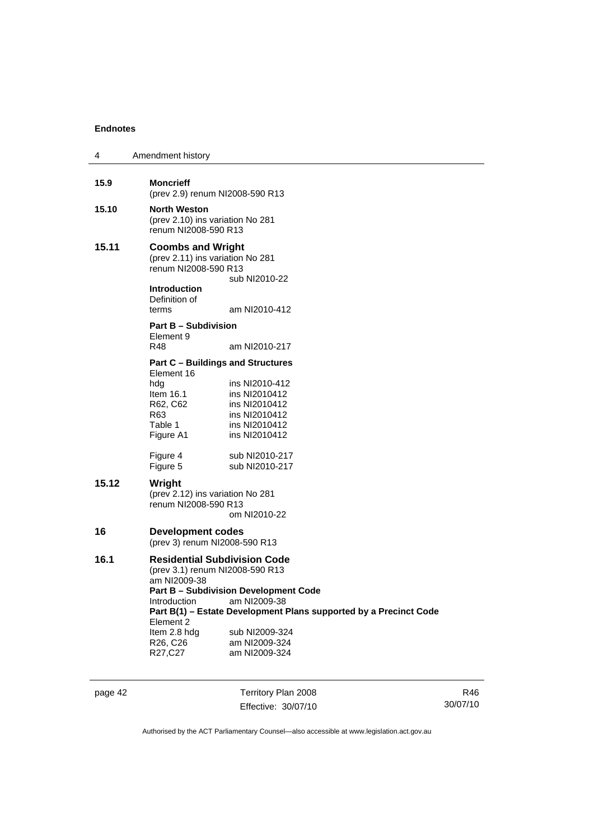| 4     | Amendment history                                                                                                                                                                                                                                                                                                                                                             |
|-------|-------------------------------------------------------------------------------------------------------------------------------------------------------------------------------------------------------------------------------------------------------------------------------------------------------------------------------------------------------------------------------|
| 15.9  | <b>Moncrieff</b><br>(prev 2.9) renum NI2008-590 R13                                                                                                                                                                                                                                                                                                                           |
| 15.10 | <b>North Weston</b><br>(prev 2.10) ins variation No 281<br>renum NI2008-590 R13                                                                                                                                                                                                                                                                                               |
| 15.11 | <b>Coombs and Wright</b><br>(prev 2.11) ins variation No 281<br>renum NI2008-590 R13<br>sub NI2010-22                                                                                                                                                                                                                                                                         |
|       | <b>Introduction</b><br>Definition of<br>terms<br>am NI2010-412                                                                                                                                                                                                                                                                                                                |
|       | <b>Part B - Subdivision</b>                                                                                                                                                                                                                                                                                                                                                   |
|       | Element 9<br>R48<br>am NI2010-217                                                                                                                                                                                                                                                                                                                                             |
|       | <b>Part C - Buildings and Structures</b>                                                                                                                                                                                                                                                                                                                                      |
|       | Element 16<br>ins NI2010-412<br>hdg<br>ins NI2010412<br>Item $16.1$<br>R62, C62<br>ins NI2010412<br>R63<br>ins NI2010412<br>Table 1<br>ins NI2010412                                                                                                                                                                                                                          |
|       | Figure A1<br>ins NI2010412<br>Figure 4<br>sub NI2010-217<br>Figure 5<br>sub NI2010-217                                                                                                                                                                                                                                                                                        |
| 15.12 | Wright<br>(prev 2.12) ins variation No 281<br>renum NI2008-590 R13<br>om NI2010-22                                                                                                                                                                                                                                                                                            |
| 16    | Development codes<br>(prev 3) renum NI2008-590 R13                                                                                                                                                                                                                                                                                                                            |
| 16.1  | <b>Residential Subdivision Code</b><br>(prev 3.1) renum NI2008-590 R13<br>am NI2009-38<br><b>Part B - Subdivision Development Code</b><br>Introduction<br>am NI2009-38<br>Part B(1) - Estate Development Plans supported by a Precinct Code<br>Element 2<br>Item 2.8 hdg<br>sub NI2009-324<br>R <sub>26</sub> , C <sub>26</sub><br>am NI2009-324<br>R27, C27<br>am NI2009-324 |
|       |                                                                                                                                                                                                                                                                                                                                                                               |

page 42 Territory Plan 2008 Effective: 30/07/10

R46 30/07/10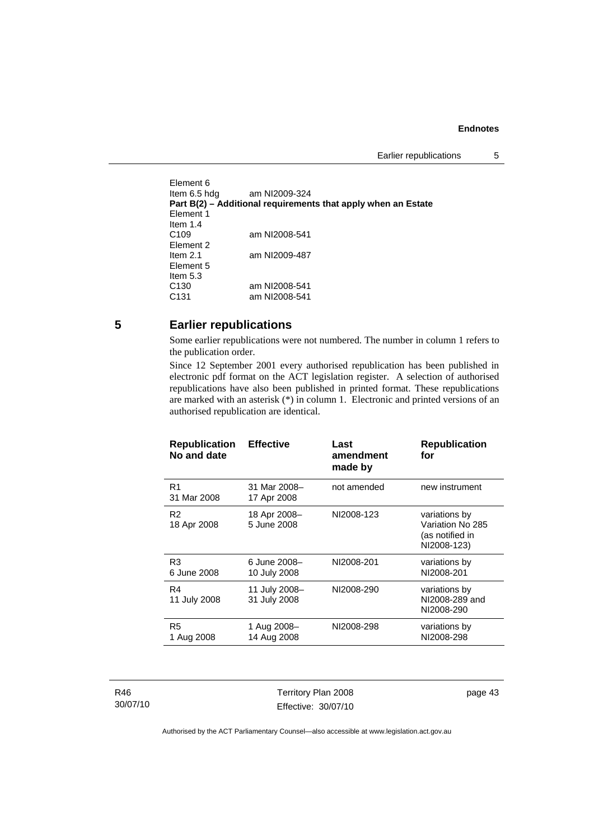```
Element 6<br>Item 6.5 hdg
                    am NI2009-324
Part B(2) – Additional requirements that apply when an Estate 
Element 1
Item 1.4<br>C109
                     am NI2008-541
Element 2<br>Item 2.1
                     am NI2009-487
Element 5 
Item 5.3<br>C130
                     am NI2008-541
C131 am NI2008-541
```
## **5 Earlier republications**

Some earlier republications were not numbered. The number in column 1 refers to the publication order.

Since 12 September 2001 every authorised republication has been published in electronic pdf format on the ACT legislation register. A selection of authorised republications have also been published in printed format. These republications are marked with an asterisk (\*) in column 1. Electronic and printed versions of an authorised republication are identical.

| <b>Republication</b><br>No and date | <b>Effective</b>              | Last<br>amendment<br>made by | <b>Republication</b><br>for                                         |
|-------------------------------------|-------------------------------|------------------------------|---------------------------------------------------------------------|
| R1<br>31 Mar 2008                   | 31 Mar 2008-<br>17 Apr 2008   | not amended                  | new instrument                                                      |
| R <sub>2</sub><br>18 Apr 2008       | 18 Apr 2008-<br>5 June 2008   | NI2008-123                   | variations by<br>Variation No 285<br>(as notified in<br>NI2008-123) |
| R <sub>3</sub><br>6 June 2008       | 6 June 2008-<br>10 July 2008  | NI2008-201                   | variations by<br>NI2008-201                                         |
| R4<br>11 July 2008                  | 11 July 2008-<br>31 July 2008 | NI2008-290                   | variations by<br>NI2008-289 and<br>NI2008-290                       |
| R5<br>1 Aug 2008                    | 1 Aug 2008–<br>14 Aug 2008    | NI2008-298                   | variations by<br>NI2008-298                                         |

| R46      |
|----------|
| 30/07/10 |

Territory Plan 2008 Effective: 30/07/10 page 43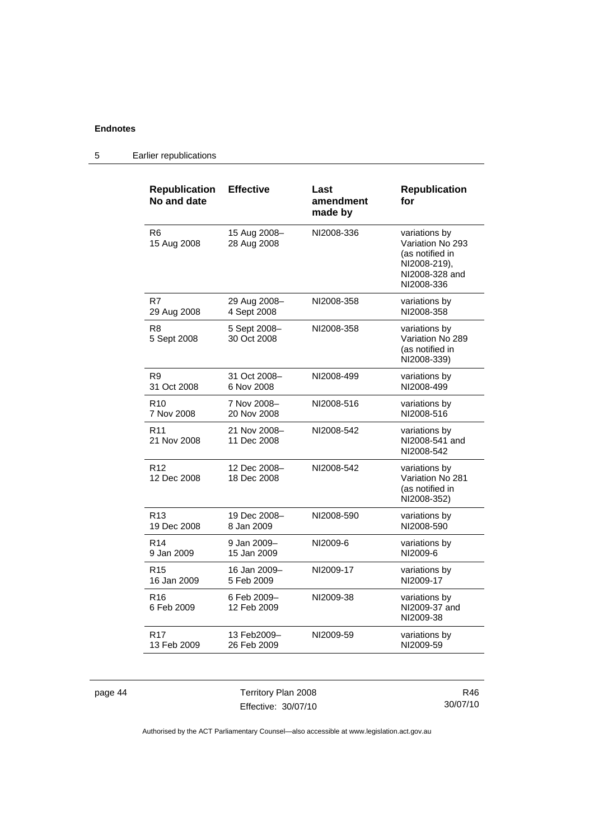5 Earlier republications

| <b>Republication</b><br>No and date | <b>Effective</b>            | Last<br>amendment<br>made by | <b>Republication</b><br>for                                                                          |
|-------------------------------------|-----------------------------|------------------------------|------------------------------------------------------------------------------------------------------|
| R6<br>15 Aug 2008                   | 15 Aug 2008-<br>28 Aug 2008 | NI2008-336                   | variations by<br>Variation No 293<br>(as notified in<br>NI2008-219),<br>NI2008-328 and<br>NI2008-336 |
| R7                                  | 29 Aug 2008-                | NI2008-358                   | variations by                                                                                        |
| 29 Aug 2008                         | 4 Sept 2008                 |                              | NI2008-358                                                                                           |
| R8<br>5 Sept 2008                   | 5 Sept 2008-<br>30 Oct 2008 | NI2008-358                   | variations by<br>Variation No 289<br>(as notified in<br>NI2008-339)                                  |
| R9                                  | 31 Oct 2008-                | NI2008-499                   | variations by                                                                                        |
| 31 Oct 2008                         | 6 Nov 2008                  |                              | NI2008-499                                                                                           |
| R <sub>10</sub>                     | 7 Nov 2008-                 | NI2008-516                   | variations by                                                                                        |
| 7 Nov 2008                          | 20 Nov 2008                 |                              | NI2008-516                                                                                           |
| R <sub>11</sub><br>21 Nov 2008      | 21 Nov 2008-<br>11 Dec 2008 | NI2008-542                   | variations by<br>NI2008-541 and<br>NI2008-542                                                        |
| R <sub>12</sub><br>12 Dec 2008      | 12 Dec 2008-<br>18 Dec 2008 | NI2008-542                   | variations by<br>Variation No 281<br>(as notified in<br>NI2008-352)                                  |
| R <sub>13</sub>                     | 19 Dec 2008-                | NI2008-590                   | variations by                                                                                        |
| 19 Dec 2008                         | 8 Jan 2009                  |                              | NI2008-590                                                                                           |
| R <sub>14</sub>                     | 9 Jan 2009-                 | NI2009-6                     | variations by                                                                                        |
| 9 Jan 2009                          | 15 Jan 2009                 |                              | NI2009-6                                                                                             |
| R <sub>15</sub>                     | 16 Jan 2009-                | NI2009-17                    | variations by                                                                                        |
| 16 Jan 2009                         | 5 Feb 2009                  |                              | NI2009-17                                                                                            |
| R <sub>16</sub><br>6 Feb 2009       | 6 Feb 2009-<br>12 Feb 2009  | NI2009-38                    | variations by<br>NI2009-37 and<br>NI2009-38                                                          |
| R <sub>17</sub>                     | 13 Feb2009-                 | NI2009-59                    | variations by                                                                                        |
| 13 Feb 2009                         | 26 Feb 2009                 |                              | NI2009-59                                                                                            |

page 44 Territory Plan 2008 Effective: 30/07/10

R46 30/07/10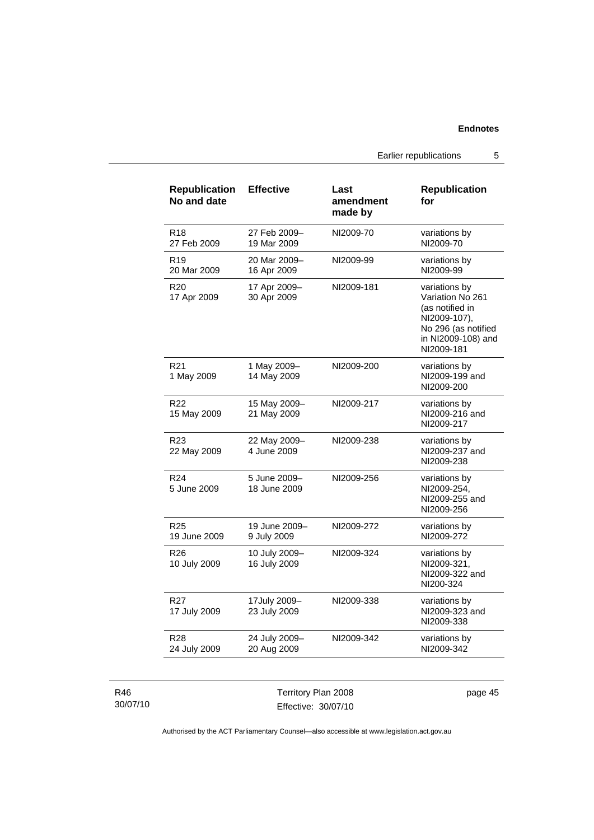Earlier republications 5

| <b>Republication</b><br>No and date | <b>Effective</b>              | Last<br>amendment<br>made by | <b>Republication</b><br>for                                                                                                     |
|-------------------------------------|-------------------------------|------------------------------|---------------------------------------------------------------------------------------------------------------------------------|
| R <sub>18</sub><br>27 Feb 2009      | 27 Feb 2009-<br>19 Mar 2009   | NI2009-70                    | variations by<br>NI2009-70                                                                                                      |
| R <sub>19</sub><br>20 Mar 2009      | 20 Mar 2009-<br>16 Apr 2009   | NI2009-99                    | variations by<br>NI2009-99                                                                                                      |
| R <sub>20</sub><br>17 Apr 2009      | 17 Apr 2009-<br>30 Apr 2009   | NI2009-181                   | variations by<br>Variation No 261<br>(as notified in<br>NI2009-107),<br>No 296 (as notified<br>in NI2009-108) and<br>NI2009-181 |
| R <sub>21</sub><br>1 May 2009       | 1 May 2009-<br>14 May 2009    | NI2009-200                   | variations by<br>NI2009-199 and<br>NI2009-200                                                                                   |
| R <sub>22</sub><br>15 May 2009      | 15 May 2009-<br>21 May 2009   | NI2009-217                   | variations by<br>NI2009-216 and<br>NI2009-217                                                                                   |
| R <sub>23</sub><br>22 May 2009      | 22 May 2009-<br>4 June 2009   | NI2009-238                   | variations by<br>NI2009-237 and<br>NI2009-238                                                                                   |
| R <sub>24</sub><br>5 June 2009      | 5 June 2009-<br>18 June 2009  | NI2009-256                   | variations by<br>NI2009-254,<br>NI2009-255 and<br>NI2009-256                                                                    |
| R <sub>25</sub><br>19 June 2009     | 19 June 2009-<br>9 July 2009  | NI2009-272                   | variations by<br>NI2009-272                                                                                                     |
| R26<br>10 July 2009                 | 10 July 2009-<br>16 July 2009 | NI2009-324                   | variations by<br>NI2009-321,<br>NI2009-322 and<br>NI200-324                                                                     |
| R <sub>27</sub><br>17 July 2009     | 17July 2009-<br>23 July 2009  | NI2009-338                   | variations by<br>NI2009-323 and<br>NI2009-338                                                                                   |
| R28<br>24 July 2009                 | 24 July 2009-<br>20 Aug 2009  | NI2009-342                   | variations by<br>NI2009-342                                                                                                     |

R46 30/07/10

Territory Plan 2008 Effective: 30/07/10 page 45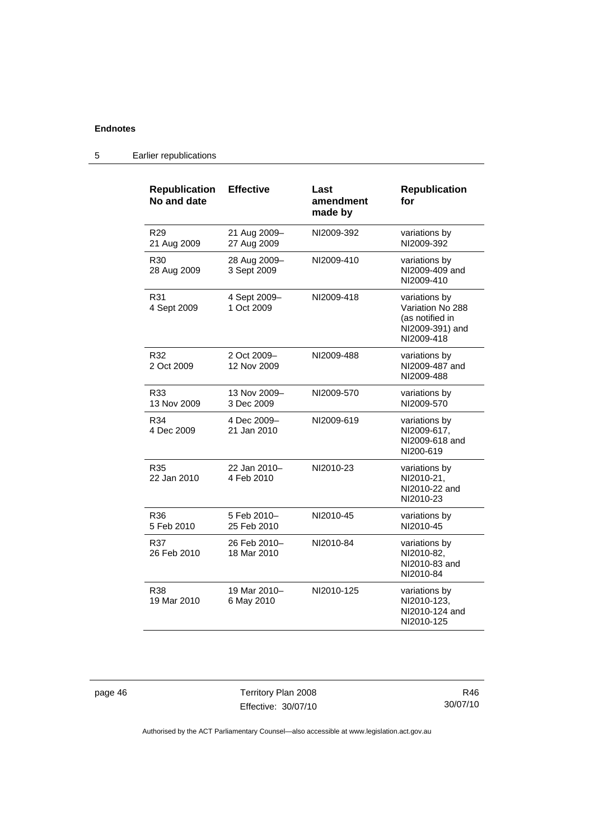| <b>Republication</b><br>No and date | <b>Effective</b>            | Last<br>amendment<br>made by | <b>Republication</b><br>for                                                           |
|-------------------------------------|-----------------------------|------------------------------|---------------------------------------------------------------------------------------|
| R <sub>29</sub><br>21 Aug 2009      | 21 Aug 2009-<br>27 Aug 2009 | NI2009-392                   | variations by<br>NI2009-392                                                           |
| R <sub>30</sub><br>28 Aug 2009      | 28 Aug 2009-<br>3 Sept 2009 | NI2009-410                   | variations by<br>NI2009-409 and<br>NI2009-410                                         |
| R31<br>4 Sept 2009                  | 4 Sept 2009-<br>1 Oct 2009  | NI2009-418                   | variations by<br>Variation No 288<br>(as notified in<br>NI2009-391) and<br>NI2009-418 |
| R32<br>2 Oct 2009                   | 2 Oct 2009-<br>12 Nov 2009  | NI2009-488                   | variations by<br>NI2009-487 and<br>NI2009-488                                         |
| R33<br>13 Nov 2009                  | 13 Nov 2009-<br>3 Dec 2009  | NI2009-570                   | variations by<br>NI2009-570                                                           |
| R34<br>4 Dec 2009                   | 4 Dec 2009-<br>21 Jan 2010  | NI2009-619                   | variations by<br>NI2009-617,<br>NI2009-618 and<br>NI200-619                           |
| R35<br>22 Jan 2010                  | 22 Jan 2010-<br>4 Feb 2010  | NI2010-23                    | variations by<br>NI2010-21,<br>NI2010-22 and<br>NI2010-23                             |
| R36<br>5 Feb 2010                   | 5 Feb 2010-<br>25 Feb 2010  | NI2010-45                    | variations by<br>NI2010-45                                                            |
| R37<br>26 Feb 2010                  | 26 Feb 2010-<br>18 Mar 2010 | NI2010-84                    | variations by<br>NI2010-82,<br>NI2010-83 and<br>NI2010-84                             |
| R38<br>19 Mar 2010                  | 19 Mar 2010-<br>6 May 2010  | NI2010-125                   | variations by<br>NI2010-123,<br>NI2010-124 and<br>NI2010-125                          |

5 Earlier republications

page 46 Territory Plan 2008 Effective: 30/07/10

R46 30/07/10